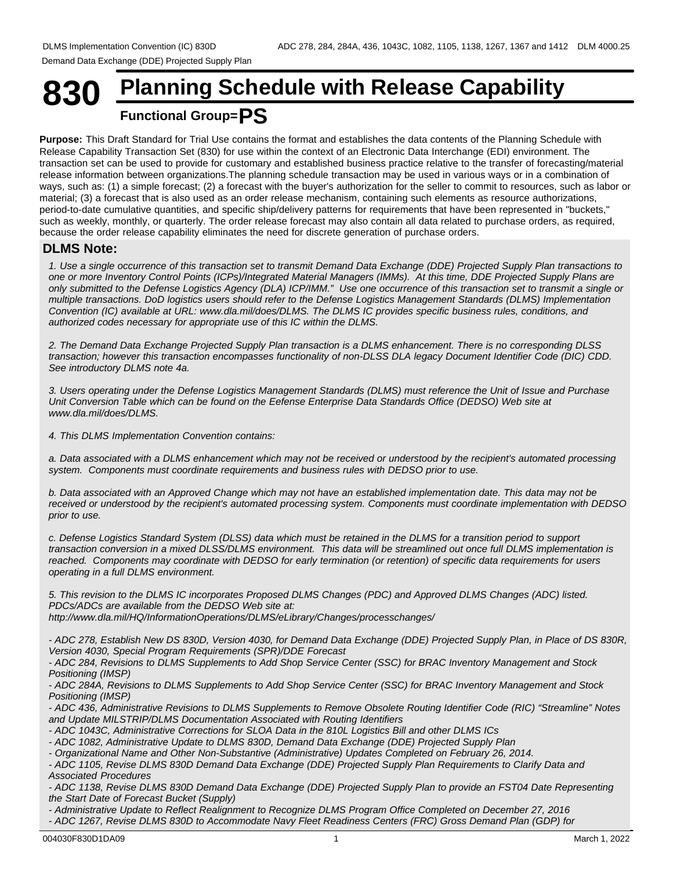# **830 Planning Schedule with Release Capability Functional Group=PS**

**Purpose:** This Draft Standard for Trial Use contains the format and establishes the data contents of the Planning Schedule with Release Capability Transaction Set (830) for use within the context of an Electronic Data Interchange (EDI) environment. The transaction set can be used to provide for customary and established business practice relative to the transfer of forecasting/material release information between organizations.The planning schedule transaction may be used in various ways or in a combination of ways, such as: (1) a simple forecast; (2) a forecast with the buyer's authorization for the seller to commit to resources, such as labor or material; (3) a forecast that is also used as an order release mechanism, containing such elements as resource authorizations, period-to-date cumulative quantities, and specific ship/delivery patterns for requirements that have been represented in "buckets," such as weekly, monthly, or quarterly. The order release forecast may also contain all data related to purchase orders, as required, because the order release capability eliminates the need for discrete generation of purchase orders.

## **DLMS Note:**

*1. Use a single occurrence of this transaction set to transmit Demand Data Exchange (DDE) Projected Supply Plan transactions to one or more Inventory Control Points (ICPs)/Integrated Material Managers (IMMs). At this time, DDE Projected Supply Plans are only submitted to the Defense Logistics Agency (DLA) ICP/IMM." Use one occurrence of this transaction set to transmit a single or multiple transactions. DoD logistics users should refer to the Defense Logistics Management Standards (DLMS) Implementation Convention (IC) available at URL: www.dla.mil/does/DLMS. The DLMS IC provides specific business rules, conditions, and authorized codes necessary for appropriate use of this IC within the DLMS.*

*2. The Demand Data Exchange Projected Supply Plan transaction is a DLMS enhancement. There is no corresponding DLSS transaction; however this transaction encompasses functionality of non-DLSS DLA legacy Document Identifier Code (DIC) CDD. See introductory DLMS note 4a.*

*3. Users operating under the Defense Logistics Management Standards (DLMS) must reference the Unit of Issue and Purchase Unit Conversion Table which can be found on the Eefense Enterprise Data Standards Office (DEDSO) Web site at www.dla.mil/does/DLMS.*

*4. This DLMS Implementation Convention contains:*

*a. Data associated with a DLMS enhancement which may not be received or understood by the recipient's automated processing system. Components must coordinate requirements and business rules with DEDSO prior to use.*

*b. Data associated with an Approved Change which may not have an established implementation date. This data may not be received or understood by the recipient's automated processing system. Components must coordinate implementation with DEDSO prior to use.*

*c. Defense Logistics Standard System (DLSS) data which must be retained in the DLMS for a transition period to support transaction conversion in a mixed DLSS/DLMS environment. This data will be streamlined out once full DLMS implementation is reached. Components may coordinate with DEDSO for early termination (or retention) of specific data requirements for users operating in a full DLMS environment.*

*5. This revision to the DLMS IC incorporates Proposed DLMS Changes (PDC) and Approved DLMS Changes (ADC) listed. PDCs/ADCs are available from the DEDSO Web site at: http://www.dla.mil/HQ/InformationOperations/DLMS/eLibrary/Changes/processchanges/*

*- ADC 278, Establish New DS 830D, Version 4030, for Demand Data Exchange (DDE) Projected Supply Plan, in Place of DS 830R, Version 4030, Special Program Requirements (SPR)/DDE Forecast*

*- ADC 284, Revisions to DLMS Supplements to Add Shop Service Center (SSC) for BRAC Inventory Management and Stock Positioning (IMSP)*

*- ADC 284A, Revisions to DLMS Supplements to Add Shop Service Center (SSC) for BRAC Inventory Management and Stock Positioning (IMSP)*

*- ADC 436, Administrative Revisions to DLMS Supplements to Remove Obsolete Routing Identifier Code (RIC) "Streamline" Notes and Update MILSTRIP/DLMS Documentation Associated with Routing Identifiers*

*- ADC 1043C, Administrative Corrections for SLOA Data in the 810L Logistics Bill and other DLMS ICs*

- *ADC 1082, Administrative Update to DLMS 830D, Demand Data Exchange (DDE) Projected Supply Plan*
- *Organizational Name and Other Non-Substantive (Administrative) Updates Completed on February 26, 2014.*

*- ADC 1105, Revise DLMS 830D Demand Data Exchange (DDE) Projected Supply Plan Requirements to Clarify Data and Associated Procedures*

*- ADC 1138, Revise DLMS 830D Demand Data Exchange (DDE) Projected Supply Plan to provide an FST04 Date Representing the Start Date of Forecast Bucket (Supply)*

*- Administrative Update to Reflect Realignment to Recognize DLMS Program Office Completed on December 27, 2016 - ADC 1267, Revise DLMS 830D to Accommodate Navy Fleet Readiness Centers (FRC) Gross Demand Plan (GDP) for*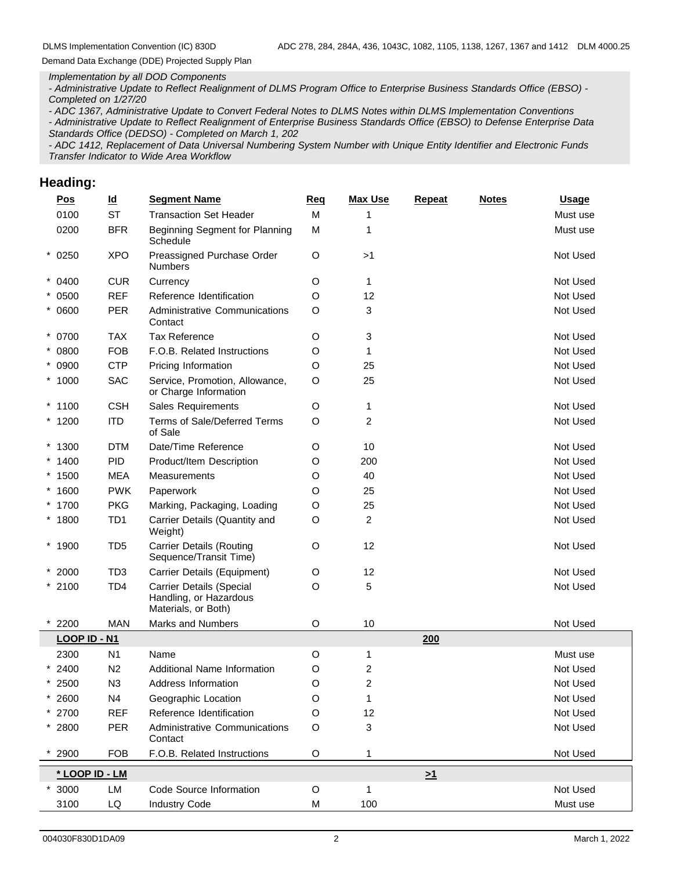#### *Implementation by all DOD Components*

*- Administrative Update to Reflect Realignment of DLMS Program Office to Enterprise Business Standards Office (EBSO) - Completed on 1/27/20*

*- ADC 1367, Administrative Update to Convert Federal Notes to DLMS Notes within DLMS Implementation Conventions - Administrative Update to Reflect Realignment of Enterprise Business Standards Office (EBSO) to Defense Enterprise Data Standards Office (DEDSO) - Completed on March 1, 202*

*- ADC 1412, Replacement of Data Universal Numbering System Number with Unique Entity Identifier and Electronic Funds Transfer Indicator to Wide Area Workflow*

## **Heading:**

| Pos            | $\underline{\mathsf{Id}}$ | <b>Segment Name</b>                                                              | Req         | <b>Max Use</b> | <b>Repeat</b> | <b>Notes</b> | <b>Usage</b> |
|----------------|---------------------------|----------------------------------------------------------------------------------|-------------|----------------|---------------|--------------|--------------|
| 0100           | <b>ST</b>                 | <b>Transaction Set Header</b>                                                    | M           |                |               |              | Must use     |
| 0200           | <b>BFR</b>                | Beginning Segment for Planning<br>Schedule                                       | M           | 1              |               |              | Must use     |
| $*0250$        | <b>XPO</b>                | Preassigned Purchase Order<br><b>Numbers</b>                                     | O           | >1             |               |              | Not Used     |
| $* 0400$       | <b>CUR</b>                | Currency                                                                         | O           | $\mathbf{1}$   |               |              | Not Used     |
| $* 0500$       | <b>REF</b>                | Reference Identification                                                         | O           | 12             |               |              | Not Used     |
| $* 0600$       | <b>PER</b>                | <b>Administrative Communications</b><br>Contact                                  | O           | 3              |               |              | Not Used     |
| $* 0700$       | <b>TAX</b>                | <b>Tax Reference</b>                                                             | O           | 3              |               |              | Not Used     |
| $* 0800$       | <b>FOB</b>                | F.O.B. Related Instructions                                                      | O           | $\mathbf{1}$   |               |              | Not Used     |
| $* 0900$       | <b>CTP</b>                | Pricing Information                                                              | O           | 25             |               |              | Not Used     |
| $*1000$        | SAC                       | Service, Promotion, Allowance,<br>or Charge Information                          | O           | 25             |               |              | Not Used     |
| $*1100$        | <b>CSH</b>                | Sales Requirements                                                               | O           | $\mathbf{1}$   |               |              | Not Used     |
| $*1200$        | <b>ITD</b>                | Terms of Sale/Deferred Terms<br>of Sale                                          | O           | 2              |               |              | Not Used     |
| $*1300$        | <b>DTM</b>                | Date/Time Reference                                                              | O           | 10             |               |              | Not Used     |
| $*1400$        | PID                       | Product/Item Description                                                         | O           | 200            |               |              | Not Used     |
| $*1500$        | <b>MEA</b>                | Measurements                                                                     | O           | 40             |               |              | Not Used     |
| $*1600$        | <b>PWK</b>                | Paperwork                                                                        | O           | 25             |               |              | Not Used     |
| * 1700         | <b>PKG</b>                | Marking, Packaging, Loading                                                      | O           | 25             |               |              | Not Used     |
| $*1800$        | TD <sub>1</sub>           | Carrier Details (Quantity and<br>Weight)                                         | O           | 2              |               |              | Not Used     |
| $*1900$        | TD <sub>5</sub>           | <b>Carrier Details (Routing</b><br>Sequence/Transit Time)                        | O           | 12             |               |              | Not Used     |
| $*2000$        | TD <sub>3</sub>           | Carrier Details (Equipment)                                                      | O           | 12             |               |              | Not Used     |
| $*2100$        | TD <sub>4</sub>           | <b>Carrier Details (Special</b><br>Handling, or Hazardous<br>Materials, or Both) | O           | 5              |               |              | Not Used     |
| $*2200$        | <b>MAN</b>                | Marks and Numbers                                                                | O           | 10             |               |              | Not Used     |
| LOOP ID - N1   |                           |                                                                                  |             |                | 200           |              |              |
| 2300           | N <sub>1</sub>            | Name                                                                             | O           | 1              |               |              | Must use     |
| 2400           | N <sub>2</sub>            | Additional Name Information                                                      | O           | 2              |               |              | Not Used     |
| $*2500$        | N <sub>3</sub>            | Address Information                                                              | O           | 2              |               |              | Not Used     |
| $*2600$        | N4                        | Geographic Location                                                              | O           | $\mathbf{1}$   |               |              | Not Used     |
| $*$ 2700       | <b>REF</b>                | Reference Identification                                                         | O           | 12             |               |              | Not Used     |
| $* 2800$       | PER                       | <b>Administrative Communications</b><br>Contact                                  | O           | 3              |               |              | Not Used     |
| 2900           | <b>FOB</b>                | F.O.B. Related Instructions                                                      | $\mathsf O$ | $\mathbf{1}$   |               |              | Not Used     |
| * LOOP ID - LM |                           |                                                                                  |             |                | $\geq 1$      |              |              |
| 3000           | LM                        | Code Source Information                                                          | $\mathsf O$ | $\mathbf{1}$   |               |              | Not Used     |
| 3100           | LQ                        | <b>Industry Code</b>                                                             | M           | 100            |               |              | Must use     |
|                |                           |                                                                                  |             |                |               |              |              |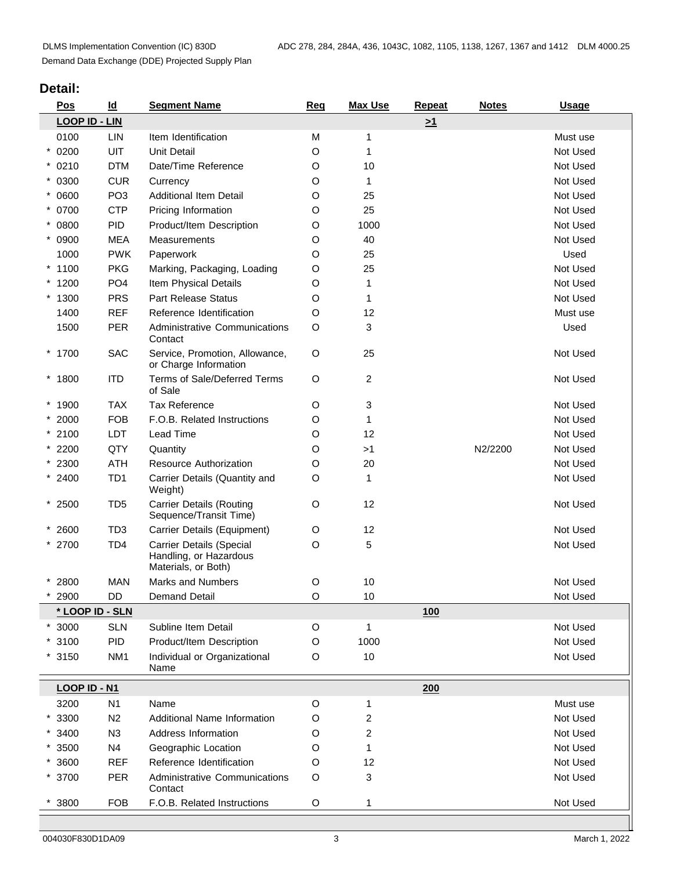# **Detail:**

| Pos                  | $\underline{\mathsf{Id}}$ | <b>Segment Name</b>                                                              | <b>Reg</b>  | <b>Max Use</b>          | Repeat   | <b>Notes</b> | <b>Usage</b> |
|----------------------|---------------------------|----------------------------------------------------------------------------------|-------------|-------------------------|----------|--------------|--------------|
| <b>LOOP ID - LIN</b> |                           |                                                                                  |             |                         | $\geq 1$ |              |              |
| 0100                 | <b>LIN</b>                | Item Identification                                                              | M           | 1                       |          |              | Must use     |
| $* 0200$             | UIT                       | <b>Unit Detail</b>                                                               | O           | 1                       |          |              | Not Used     |
| $* 0210$             | <b>DTM</b>                | Date/Time Reference                                                              | O           | 10                      |          |              | Not Used     |
| $* 0300$             | <b>CUR</b>                | Currency                                                                         | O           | $\mathbf{1}$            |          |              | Not Used     |
| $* 0600$             | PO <sub>3</sub>           | <b>Additional Item Detail</b>                                                    | O           | 25                      |          |              | Not Used     |
| * 0700               | <b>CTP</b>                | Pricing Information                                                              | O           | 25                      |          |              | Not Used     |
| $* 0800$             | PID                       | Product/Item Description                                                         | O           | 1000                    |          |              | Not Used     |
| $* 0900$             | <b>MEA</b>                | Measurements                                                                     | O           | 40                      |          |              | Not Used     |
| 1000                 | <b>PWK</b>                | Paperwork                                                                        | O           | 25                      |          |              | Used         |
| $*1100$              | <b>PKG</b>                | Marking, Packaging, Loading                                                      | O           | 25                      |          |              | Not Used     |
| $*1200$              | PO <sub>4</sub>           | Item Physical Details                                                            | O           | 1                       |          |              | Not Used     |
| $*1300$              | <b>PRS</b>                | <b>Part Release Status</b>                                                       | O           | $\mathbf{1}$            |          |              | Not Used     |
| 1400                 | <b>REF</b>                | Reference Identification                                                         | O           | 12                      |          |              | Must use     |
| 1500                 | PER                       | Administrative Communications                                                    | O           | 3                       |          |              | Used         |
|                      |                           | Contact                                                                          |             |                         |          |              |              |
| $*1700$              | <b>SAC</b>                | Service, Promotion, Allowance,<br>or Charge Information                          | $\circ$     | 25                      |          |              | Not Used     |
| * 1800               | <b>ITD</b>                | Terms of Sale/Deferred Terms<br>of Sale                                          | $\circ$     | $\overline{c}$          |          |              | Not Used     |
| $*1900$              | <b>TAX</b>                | <b>Tax Reference</b>                                                             | O           | 3                       |          |              | Not Used     |
| $*2000$              | <b>FOB</b>                | F.O.B. Related Instructions                                                      | O           | $\mathbf{1}$            |          |              | Not Used     |
| $*2100$              | LDT                       | Lead Time                                                                        | O           | 12                      |          |              | Not Used     |
| $*2200$              | QTY                       | Quantity                                                                         | O           | >1                      |          | N2/2200      | Not Used     |
| $*2300$              | <b>ATH</b>                | Resource Authorization                                                           | O           | 20                      |          |              | Not Used     |
| $* 2400$             | TD <sub>1</sub>           | Carrier Details (Quantity and<br>Weight)                                         | O           | $\mathbf{1}$            |          |              | Not Used     |
| $*2500$              | TD <sub>5</sub>           | <b>Carrier Details (Routing</b><br>Sequence/Transit Time)                        | O           | 12                      |          |              | Not Used     |
| $* 2600$             | TD <sub>3</sub>           | Carrier Details (Equipment)                                                      | O           | 12                      |          |              | Not Used     |
| * 2700               | TD <sub>4</sub>           | <b>Carrier Details (Special</b><br>Handling, or Hazardous<br>Materials, or Both) | O           | 5                       |          |              | Not Used     |
| $* 2800$             | <b>MAN</b>                | <b>Marks and Numbers</b>                                                         | $\mathsf O$ | $10$                    |          |              | Not Used     |
| 2900                 | DD                        | <b>Demand Detail</b>                                                             | O           | 10                      |          |              | Not Used     |
| * LOOP ID - SLN      |                           |                                                                                  |             |                         | 100      |              |              |
| $*3000$              | <b>SLN</b>                | Subline Item Detail                                                              | $\mathsf O$ | $\mathbf{1}$            |          |              | Not Used     |
| $*3100$              | PID                       | Product/Item Description                                                         | O           | 1000                    |          |              | Not Used     |
| $*3150$              | NM <sub>1</sub>           | Individual or Organizational<br>Name                                             | O           | 10                      |          |              | Not Used     |
| <b>LOOP ID - N1</b>  |                           |                                                                                  |             |                         | 200      |              |              |
| 3200                 | N <sub>1</sub>            | Name                                                                             | $\circ$     | 1                       |          |              | Must use     |
| $*3300$              | N <sub>2</sub>            | Additional Name Information                                                      | O           | $\overline{\mathbf{c}}$ |          |              | Not Used     |
| $*3400$              | N3                        | Address Information                                                              | O           | $\overline{c}$          |          |              | Not Used     |
| $*3500$              | N <sub>4</sub>            | Geographic Location                                                              | O           | $\mathbf{1}$            |          |              | Not Used     |
| $*3600$              | <b>REF</b>                | Reference Identification                                                         | O           | 12                      |          |              | Not Used     |
| * 3700               | PER                       | <b>Administrative Communications</b><br>Contact                                  | O           | 3                       |          |              | Not Used     |
| 3800                 | <b>FOB</b>                | F.O.B. Related Instructions                                                      | $\mathsf O$ | 1                       |          |              | Not Used     |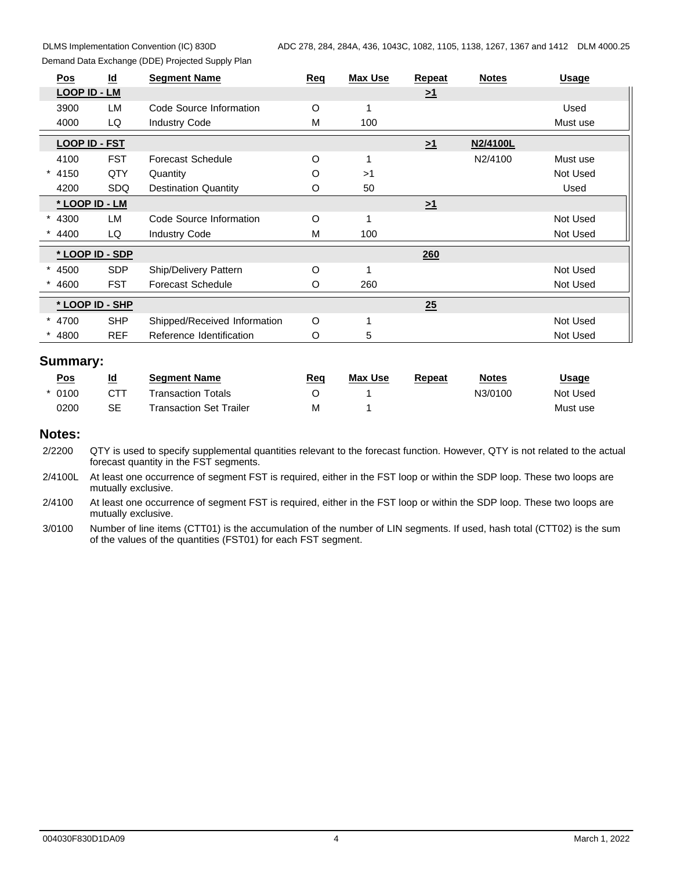| Demand Data Exchange (DDE) Projected Supply Plan |  |
|--------------------------------------------------|--|
|--------------------------------------------------|--|

| Pos                  | $\underline{\mathsf{Id}}$ | <b>Segment Name</b>          | Req     | <b>Max Use</b> | Repeat   | <b>Notes</b> | <b>Usage</b> |
|----------------------|---------------------------|------------------------------|---------|----------------|----------|--------------|--------------|
| LOOP ID - LM         |                           |                              |         |                | $\geq 1$ |              |              |
| 3900                 | LM                        | Code Source Information      | $\circ$ |                |          |              | Used         |
| 4000                 | LQ                        | <b>Industry Code</b>         | Μ       | 100            |          |              | Must use     |
| <b>LOOP ID - FST</b> |                           |                              |         |                | $\geq 1$ | N2/4100L     |              |
| 4100                 | <b>FST</b>                | <b>Forecast Schedule</b>     | $\circ$ |                |          | N2/4100      | Must use     |
| 4150                 | QTY                       | Quantity                     | O       | >1             |          |              | Not Used     |
| 4200                 | <b>SDQ</b>                | <b>Destination Quantity</b>  | O       | 50             |          |              | Used         |
| * LOOP ID - LM       |                           |                              |         |                | $\geq 1$ |              |              |
| 4300                 | <b>LM</b>                 | Code Source Information      | $\circ$ |                |          |              | Not Used     |
| 4400                 | LQ                        | <b>Industry Code</b>         | М       | 100            |          |              | Not Used     |
| * LOOP ID - SDP      |                           |                              |         |                | 260      |              |              |
| 4500                 | <b>SDP</b>                | Ship/Delivery Pattern        | $\circ$ |                |          |              | Not Used     |
| 4600                 | <b>FST</b>                | Forecast Schedule            | O       | 260            |          |              | Not Used     |
| * LOOP ID - SHP      |                           |                              |         |                | 25       |              |              |
| $* 4700$             | <b>SHP</b>                | Shipped/Received Information | $\circ$ |                |          |              | Not Used     |
| 4800                 | <b>REF</b>                | Reference Identification     | O       | 5              |          |              | Not Used     |

| <u>Pos</u> | <u>Ια</u> | Seament Name                   | Req | <b>Max Use</b> | Repeat | <b>Notes</b> | <u>Jsage</u> |  |
|------------|-----------|--------------------------------|-----|----------------|--------|--------------|--------------|--|
| 0100       | CTT       | Transaction Totals             |     |                |        | N3/0100      | Not Used     |  |
| 0200       | SE        | <b>Transaction Set Trailer</b> | IVI |                |        |              | Must use     |  |

#### **Notes:**

2/2200 QTY is used to specify supplemental quantities relevant to the forecast function. However, QTY is not related to the actual forecast quantity in the FST segments.

2/4100L At least one occurrence of segment FST is required, either in the FST loop or within the SDP loop. These two loops are mutually exclusive.

2/4100 At least one occurrence of segment FST is required, either in the FST loop or within the SDP loop. These two loops are mutually exclusive.

3/0100 Number of line items (CTT01) is the accumulation of the number of LIN segments. If used, hash total (CTT02) is the sum of the values of the quantities (FST01) for each FST segment.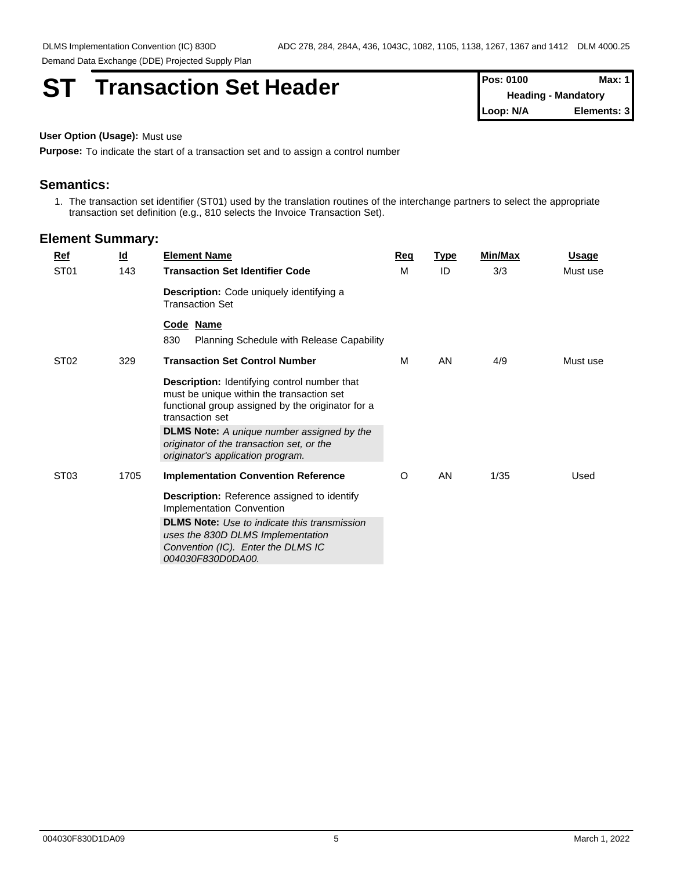# **ST Transaction Set Header**

| <b>Pos: 0100</b> | Max: $1$                   |
|------------------|----------------------------|
|                  | <b>Heading - Mandatory</b> |
| Loop: N/A        | Elements: 31               |

#### **User Option (Usage):** Must use

**Purpose:** To indicate the start of a transaction set and to assign a control number

#### **Semantics:**

1. The transaction set identifier (ST01) used by the translation routines of the interchange partners to select the appropriate transaction set definition (e.g., 810 selects the Invoice Transaction Set).

| <b>Ref</b>       | $\underline{\mathsf{Id}}$ | <b>Element Name</b>                                                                                                                                                      | Req | <b>Type</b> | Min/Max | <b>Usage</b> |
|------------------|---------------------------|--------------------------------------------------------------------------------------------------------------------------------------------------------------------------|-----|-------------|---------|--------------|
| ST <sub>01</sub> | 143                       | <b>Transaction Set Identifier Code</b>                                                                                                                                   | M   | ID          | 3/3     | Must use     |
|                  |                           | Description: Code uniquely identifying a<br><b>Transaction Set</b>                                                                                                       |     |             |         |              |
|                  |                           | Code Name<br>830<br>Planning Schedule with Release Capability                                                                                                            |     |             |         |              |
| ST <sub>02</sub> | 329                       | <b>Transaction Set Control Number</b>                                                                                                                                    | м   | <b>AN</b>   | 4/9     | Must use     |
|                  |                           | <b>Description:</b> Identifying control number that<br>must be unique within the transaction set<br>functional group assigned by the originator for a<br>transaction set |     |             |         |              |
|                  |                           | <b>DLMS Note:</b> A unique number assigned by the<br>originator of the transaction set, or the<br>originator's application program.                                      |     |             |         |              |
| ST <sub>03</sub> | 1705                      | <b>Implementation Convention Reference</b>                                                                                                                               | O   | <b>AN</b>   | 1/35    | Used         |
|                  |                           | <b>Description:</b> Reference assigned to identify<br>Implementation Convention                                                                                          |     |             |         |              |
|                  |                           | <b>DLMS Note:</b> Use to indicate this transmission<br>uses the 830D DLMS Implementation<br>Convention (IC). Enter the DLMS IC<br>004030F830D0DA00.                      |     |             |         |              |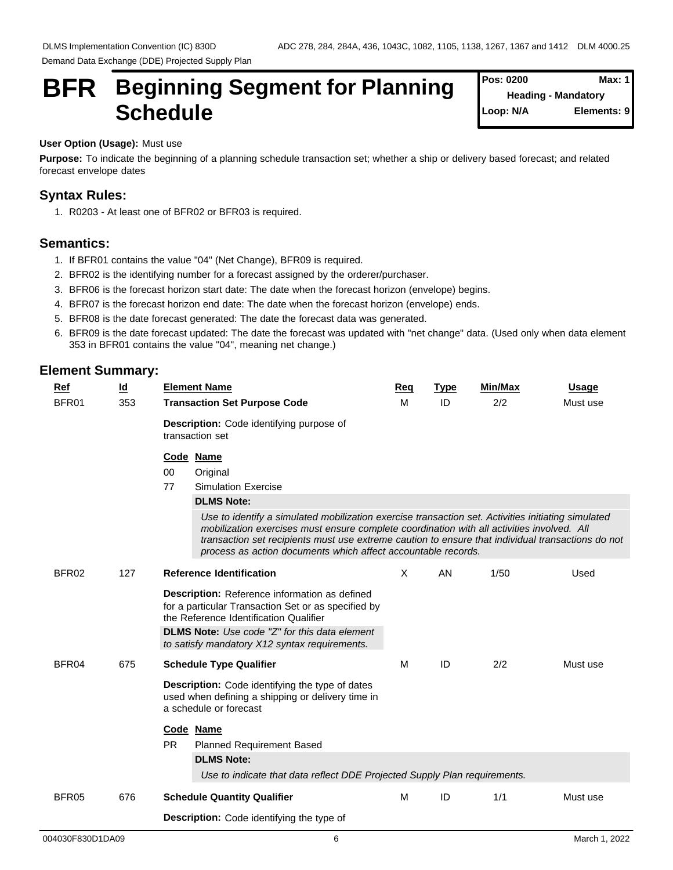# **BFR** Beginning Segment for Planning  $\int_{\text{Heading - Mandator}}^{\text{Pos: 0200}}$ Schedule **Schedule Schedule Schedule SCHEDULE**

**Pos: 0200 Heading - Mandatory Elements: 9** 

#### **User Option (Usage):** Must use

**Purpose:** To indicate the beginning of a planning schedule transaction set; whether a ship or delivery based forecast; and related forecast envelope dates

## **Syntax Rules:**

1. R0203 - At least one of BFR02 or BFR03 is required.

# **Semantics:**

- 1. If BFR01 contains the value "04" (Net Change), BFR09 is required.
- 2. BFR02 is the identifying number for a forecast assigned by the orderer/purchaser.
- 3. BFR06 is the forecast horizon start date: The date when the forecast horizon (envelope) begins.
- 4. BFR07 is the forecast horizon end date: The date when the forecast horizon (envelope) ends.
- 5. BFR08 is the date forecast generated: The date the forecast data was generated.
- 6. BFR09 is the date forecast updated: The date the forecast was updated with "net change" data. (Used only when data element 353 in BFR01 contains the value "04", meaning net change.)

| Ref<br>BFR01 | $\underline{\mathsf{Id}}$<br>353 | <b>Element Name</b><br><b>Transaction Set Purpose Code</b>                                                                                                                                                                                                                                                                                                                                                                                                         | Req<br>м | <b>Type</b><br>ID | <b>Min/Max</b><br>2/2 | <b>Usage</b><br>Must use |
|--------------|----------------------------------|--------------------------------------------------------------------------------------------------------------------------------------------------------------------------------------------------------------------------------------------------------------------------------------------------------------------------------------------------------------------------------------------------------------------------------------------------------------------|----------|-------------------|-----------------------|--------------------------|
|              |                                  | Description: Code identifying purpose of<br>transaction set                                                                                                                                                                                                                                                                                                                                                                                                        |          |                   |                       |                          |
|              |                                  | Code Name<br>$00\,$<br>Original<br>77<br><b>Simulation Exercise</b><br><b>DLMS Note:</b><br>Use to identify a simulated mobilization exercise transaction set. Activities initiating simulated<br>mobilization exercises must ensure complete coordination with all activities involved. All<br>transaction set recipients must use extreme caution to ensure that individual transactions do not<br>process as action documents which affect accountable records. |          |                   |                       |                          |
| BFR02        | 127                              | <b>Reference Identification</b><br>Description: Reference information as defined<br>for a particular Transaction Set or as specified by<br>the Reference Identification Qualifier<br><b>DLMS Note:</b> Use code "Z" for this data element<br>to satisfy mandatory X12 syntax requirements.                                                                                                                                                                         | $\times$ | AN                | 1/50                  | Used                     |
| BFR04        | 675                              | <b>Schedule Type Qualifier</b><br><b>Description:</b> Code identifying the type of dates<br>used when defining a shipping or delivery time in<br>a schedule or forecast<br>Code Name<br><b>PR</b><br><b>Planned Requirement Based</b><br><b>DLMS Note:</b><br>Use to indicate that data reflect DDE Projected Supply Plan requirements.                                                                                                                            | м        | ID                | 2/2                   | Must use                 |
| BFR05        | 676                              | <b>Schedule Quantity Qualifier</b><br><b>Description:</b> Code identifying the type of                                                                                                                                                                                                                                                                                                                                                                             | M        | ID                | 1/1                   | Must use                 |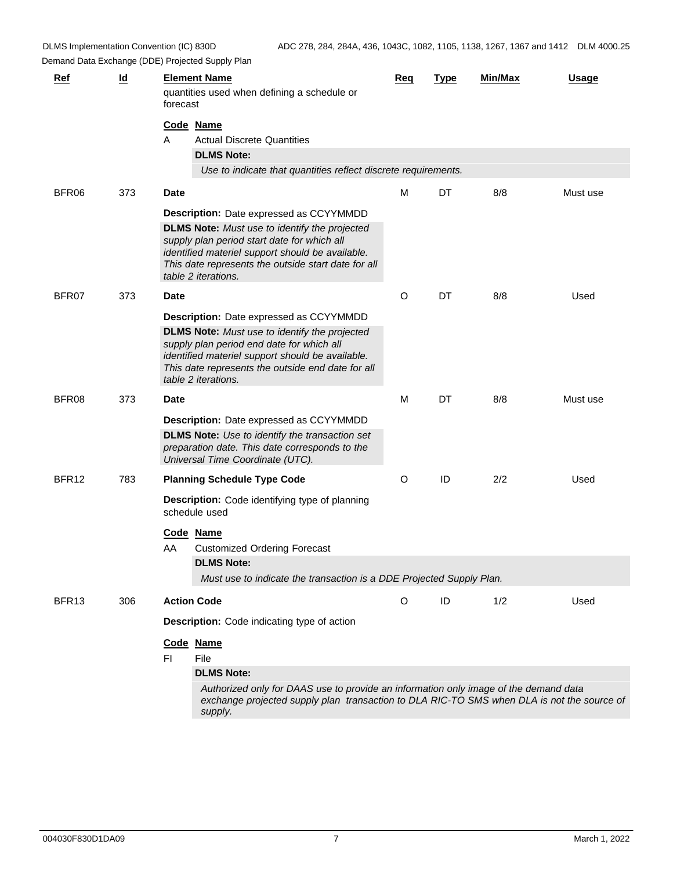| <b>Ref</b>        | $\underline{\mathsf{Id}}$ | <b>Element Name</b><br>forecast | quantities used when defining a schedule or                                                                                                                                                                    | Req | <b>Type</b> | Min/Max | <b>Usage</b> |
|-------------------|---------------------------|---------------------------------|----------------------------------------------------------------------------------------------------------------------------------------------------------------------------------------------------------------|-----|-------------|---------|--------------|
|                   |                           | Code Name                       |                                                                                                                                                                                                                |     |             |         |              |
|                   |                           | A                               | <b>Actual Discrete Quantities</b>                                                                                                                                                                              |     |             |         |              |
|                   |                           |                                 | <b>DLMS Note:</b>                                                                                                                                                                                              |     |             |         |              |
|                   |                           |                                 | Use to indicate that quantities reflect discrete requirements.                                                                                                                                                 |     |             |         |              |
| BFR06             | 373                       | <b>Date</b>                     |                                                                                                                                                                                                                | M   | DT          | 8/8     | Must use     |
|                   |                           |                                 | <b>Description:</b> Date expressed as CCYYMMDD                                                                                                                                                                 |     |             |         |              |
|                   |                           | table 2 iterations.             | <b>DLMS Note:</b> Must use to identify the projected<br>supply plan period start date for which all<br>identified materiel support should be available.<br>This date represents the outside start date for all |     |             |         |              |
| BFR07             | 373                       | <b>Date</b>                     |                                                                                                                                                                                                                | O   | DT          | 8/8     | Used         |
|                   |                           |                                 | <b>Description:</b> Date expressed as CCYYMMDD                                                                                                                                                                 |     |             |         |              |
|                   |                           |                                 | <b>DLMS Note:</b> Must use to identify the projected                                                                                                                                                           |     |             |         |              |
|                   |                           | table 2 iterations.             | supply plan period end date for which all<br>identified materiel support should be available.<br>This date represents the outside end date for all                                                             |     |             |         |              |
| BFR08             | 373                       | <b>Date</b>                     |                                                                                                                                                                                                                | M   | DT          | 8/8     | Must use     |
|                   |                           |                                 | Description: Date expressed as CCYYMMDD                                                                                                                                                                        |     |             |         |              |
|                   |                           |                                 | <b>DLMS Note:</b> Use to identify the transaction set<br>preparation date. This date corresponds to the<br>Universal Time Coordinate (UTC).                                                                    |     |             |         |              |
| BFR12             | 783                       |                                 | <b>Planning Schedule Type Code</b>                                                                                                                                                                             | O   | ID          | 2/2     | Used         |
|                   |                           | schedule used                   | <b>Description:</b> Code identifying type of planning                                                                                                                                                          |     |             |         |              |
|                   |                           | Code Name                       |                                                                                                                                                                                                                |     |             |         |              |
|                   |                           | AA                              | <b>Customized Ordering Forecast</b>                                                                                                                                                                            |     |             |         |              |
|                   |                           |                                 | <b>DLMS Note:</b>                                                                                                                                                                                              |     |             |         |              |
|                   |                           |                                 | Must use to indicate the transaction is a DDE Projected Supply Plan.                                                                                                                                           |     |             |         |              |
| BFR <sub>13</sub> | 306                       | <b>Action Code</b>              |                                                                                                                                                                                                                | O   | ID          | 1/2     | Used         |
|                   |                           |                                 | <b>Description:</b> Code indicating type of action                                                                                                                                                             |     |             |         |              |
|                   |                           | Code Name                       |                                                                                                                                                                                                                |     |             |         |              |
|                   |                           | File<br>FI.                     |                                                                                                                                                                                                                |     |             |         |              |
|                   |                           |                                 | <b>DLMS Note:</b>                                                                                                                                                                                              |     |             |         |              |
|                   |                           |                                 | Authorized only for DAAS use to provide an information only image of the demand data<br>exchange projected supply plan transaction to DLA RIC-TO SMS when DLA is not the source of<br>supply.                  |     |             |         |              |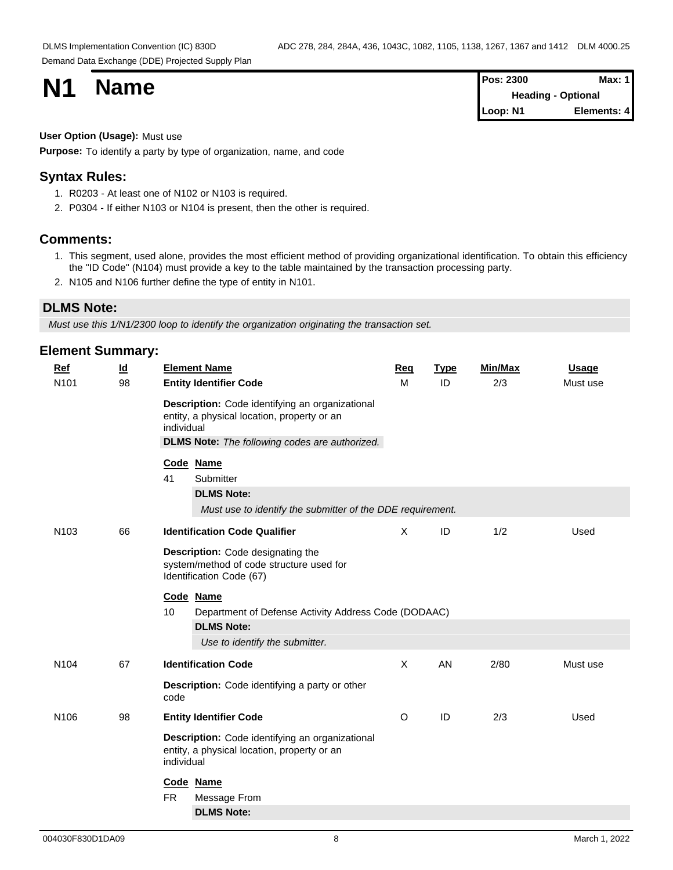| <b>N1</b> |             | Pos: 2300 | <b>Max: 1</b> |
|-----------|-------------|-----------|---------------|
|           | <b>Name</b> | Heading   | - Optional    |
|           |             | Loop: N1  | Elements: 4   |

#### **User Option (Usage):** Must use

**Purpose:** To identify a party by type of organization, name, and code

### **Syntax Rules:**

- 1. R0203 At least one of N102 or N103 is required.
- 2. P0304 If either N103 or N104 is present, then the other is required.

#### **Comments:**

- 1. This segment, used alone, provides the most efficient method of providing organizational identification. To obtain this efficiency the "ID Code" (N104) must provide a key to the table maintained by the transaction processing party.
- 2. N105 and N106 further define the type of entity in N101.

## **DLMS Note:**

*Must use this 1/N1/2300 loop to identify the organization originating the transaction set.*

| <b>Ref</b>       | $\underline{\mathsf{Id}}$ |            | <b>Element Name</b>                                                                                                                                     | Req      | <b>Type</b> | Min/Max | <b>Usage</b> |
|------------------|---------------------------|------------|---------------------------------------------------------------------------------------------------------------------------------------------------------|----------|-------------|---------|--------------|
| N <sub>101</sub> | 98                        |            | <b>Entity Identifier Code</b>                                                                                                                           | M        | ID          | 2/3     | Must use     |
|                  |                           | individual | Description: Code identifying an organizational<br>entity, a physical location, property or an<br><b>DLMS Note:</b> The following codes are authorized. |          |             |         |              |
|                  |                           |            |                                                                                                                                                         |          |             |         |              |
|                  |                           | 41         | Code Name<br>Submitter                                                                                                                                  |          |             |         |              |
|                  |                           |            | <b>DLMS Note:</b><br>Must use to identify the submitter of the DDE requirement.                                                                         |          |             |         |              |
| N <sub>103</sub> | 66                        |            | <b>Identification Code Qualifier</b>                                                                                                                    | $\times$ | ID          | 1/2     | Used         |
|                  |                           |            | <b>Description:</b> Code designating the<br>system/method of code structure used for<br>Identification Code (67)                                        |          |             |         |              |
|                  |                           |            | Code Name                                                                                                                                               |          |             |         |              |
|                  |                           | 10         | Department of Defense Activity Address Code (DODAAC)                                                                                                    |          |             |         |              |
|                  |                           |            | <b>DLMS Note:</b><br>Use to identify the submitter.                                                                                                     |          |             |         |              |
| N <sub>104</sub> | 67                        |            | <b>Identification Code</b>                                                                                                                              | $\sf X$  | AN          | 2/80    | Must use     |
|                  |                           | code       | <b>Description:</b> Code identifying a party or other                                                                                                   |          |             |         |              |
| N <sub>106</sub> | 98                        |            | <b>Entity Identifier Code</b>                                                                                                                           | $\circ$  | ID          | 2/3     | Used         |
|                  |                           | individual | Description: Code identifying an organizational<br>entity, a physical location, property or an                                                          |          |             |         |              |
|                  |                           |            | Code Name                                                                                                                                               |          |             |         |              |
|                  |                           | <b>FR</b>  | Message From                                                                                                                                            |          |             |         |              |
|                  |                           |            | <b>DLMS Note:</b>                                                                                                                                       |          |             |         |              |
|                  |                           |            |                                                                                                                                                         |          |             |         |              |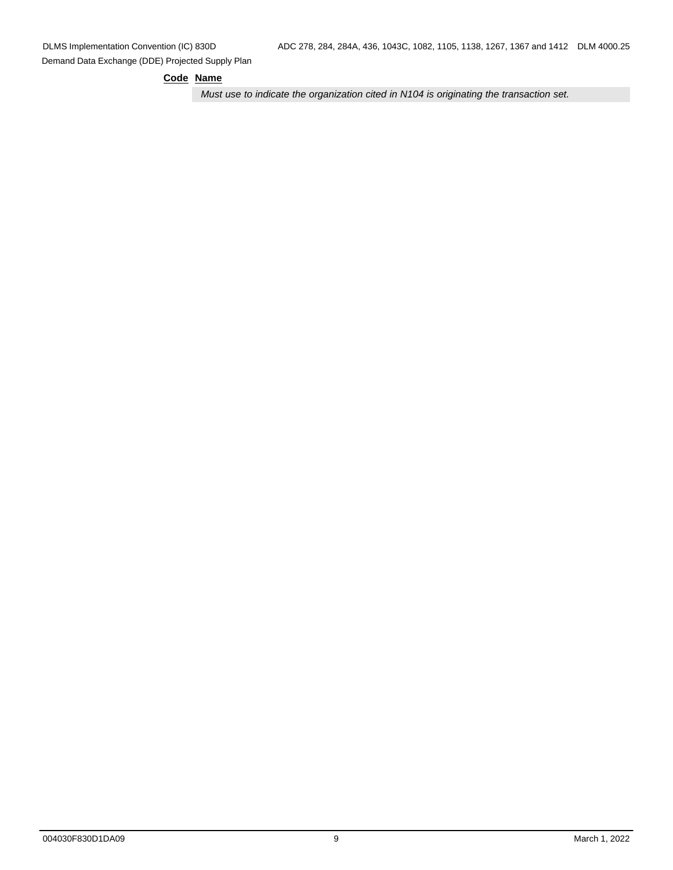#### **Code Name**

*Must use to indicate the organization cited in N104 is originating the transaction set.*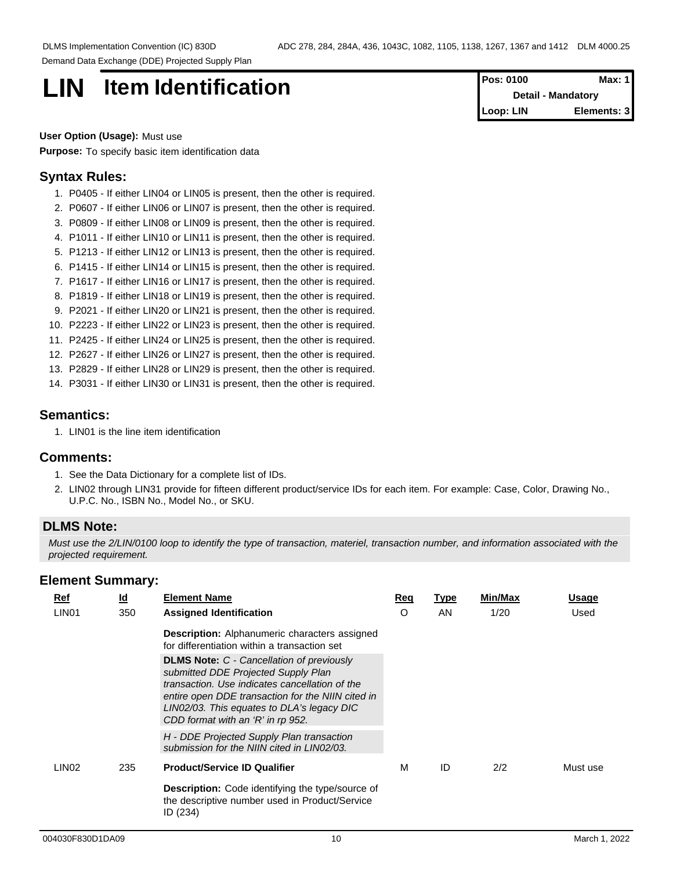# **LIN Item Identification**

| <b>IPos: 0100</b> | Max: 11                   |
|-------------------|---------------------------|
|                   | <b>Detail - Mandatory</b> |
| Loop: LIN         | Elements: 3               |

## **User Option (Usage):** Must use

**Purpose:** To specify basic item identification data

### **Syntax Rules:**

- 1. P0405 If either LIN04 or LIN05 is present, then the other is required.
- 2. P0607 If either LIN06 or LIN07 is present, then the other is required.
- 3. P0809 If either LIN08 or LIN09 is present, then the other is required.
- 4. P1011 If either LIN10 or LIN11 is present, then the other is required.
- 5. P1213 If either LIN12 or LIN13 is present, then the other is required.
- 6. P1415 If either LIN14 or LIN15 is present, then the other is required.
- 7. P1617 If either LIN16 or LIN17 is present, then the other is required.
- 8. P1819 If either LIN18 or LIN19 is present, then the other is required.
- 9. P2021 If either LIN20 or LIN21 is present, then the other is required.
- 10. P2223 If either LIN22 or LIN23 is present, then the other is required.
- 11. P2425 If either LIN24 or LIN25 is present, then the other is required.
- 12. P2627 If either LIN26 or LIN27 is present, then the other is required.
- 13. P2829 If either LIN28 or LIN29 is present, then the other is required.
- 14. P3031 If either LIN30 or LIN31 is present, then the other is required.

#### **Semantics:**

1. LIN01 is the line item identification

#### **Comments:**

- 1. See the Data Dictionary for a complete list of IDs.
- 2. LIN02 through LIN31 provide for fifteen different product/service IDs for each item. For example: Case, Color, Drawing No., U.P.C. No., ISBN No., Model No., or SKU.

## **DLMS Note:**

*Must use the 2/LIN/0100 loop to identify the type of transaction, materiel, transaction number, and information associated with the projected requirement.*

| Ref               | <u>ld</u> | <b>Element Name</b>                                                                                                                                                                                                                                                               | Req | <u>Type</u> | Min/Max | Usage    |  |
|-------------------|-----------|-----------------------------------------------------------------------------------------------------------------------------------------------------------------------------------------------------------------------------------------------------------------------------------|-----|-------------|---------|----------|--|
| LIN <sub>01</sub> | 350       | <b>Assigned Identification</b>                                                                                                                                                                                                                                                    | O   | AN.         | 1/20    | Used     |  |
|                   |           | <b>Description:</b> Alphanumeric characters assigned<br>for differentiation within a transaction set                                                                                                                                                                              |     |             |         |          |  |
|                   |           | <b>DLMS Note: C - Cancellation of previously</b><br>submitted DDE Projected Supply Plan<br>transaction. Use indicates cancellation of the<br>entire open DDE transaction for the NIIN cited in<br>LIN02/03. This equates to DLA's legacy DIC<br>CDD format with an 'R' in rp 952. |     |             |         |          |  |
|                   |           | H - DDE Projected Supply Plan transaction<br>submission for the NIIN cited in LIN02/03.                                                                                                                                                                                           |     |             |         |          |  |
| LIN <sub>02</sub> | 235       | <b>Product/Service ID Qualifier</b>                                                                                                                                                                                                                                               | м   | ID          | 2/2     | Must use |  |
|                   |           | Description: Code identifying the type/source of<br>the descriptive number used in Product/Service<br>ID(234)                                                                                                                                                                     |     |             |         |          |  |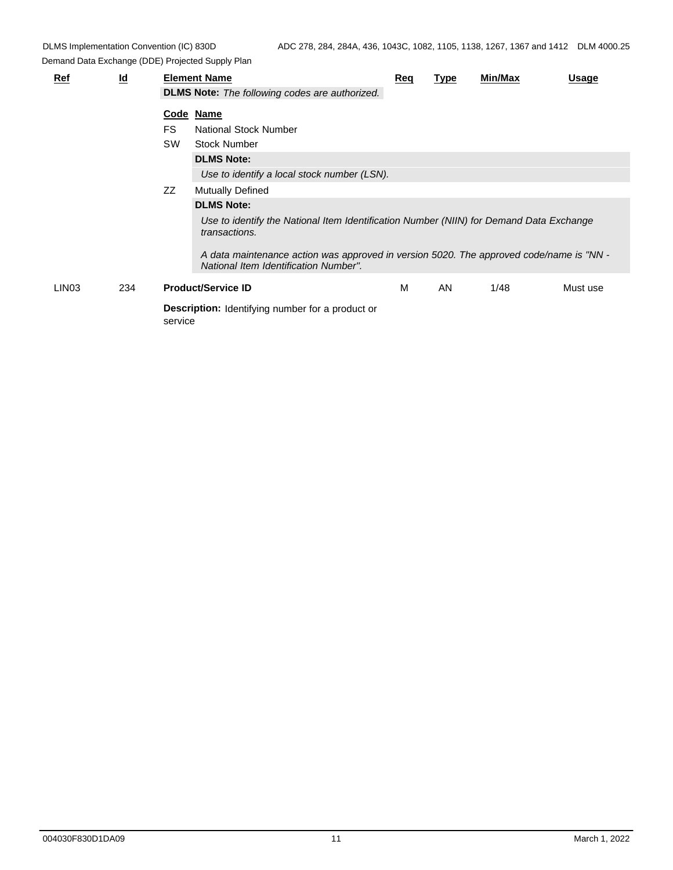| $Ref$             | $\underline{\mathsf{Id}}$ |           | <b>Element Name</b><br><b>DLMS Note:</b> The following codes are authorized.                                                     | Req | <b>Type</b> | Min/Max | Usage    |  |
|-------------------|---------------------------|-----------|----------------------------------------------------------------------------------------------------------------------------------|-----|-------------|---------|----------|--|
|                   |                           |           |                                                                                                                                  |     |             |         |          |  |
|                   |                           |           | Code Name                                                                                                                        |     |             |         |          |  |
|                   |                           | FS.       | National Stock Number                                                                                                            |     |             |         |          |  |
|                   |                           | <b>SW</b> | <b>Stock Number</b>                                                                                                              |     |             |         |          |  |
|                   |                           |           | <b>DLMS Note:</b>                                                                                                                |     |             |         |          |  |
|                   |                           |           | Use to identify a local stock number (LSN).                                                                                      |     |             |         |          |  |
|                   |                           | ZZ        | <b>Mutually Defined</b>                                                                                                          |     |             |         |          |  |
|                   |                           |           | <b>DLMS Note:</b>                                                                                                                |     |             |         |          |  |
|                   |                           |           | Use to identify the National Item Identification Number (NIIN) for Demand Data Exchange<br>transactions.                         |     |             |         |          |  |
|                   |                           |           | A data maintenance action was approved in version 5020. The approved code/name is "NN -<br>National Item Identification Number". |     |             |         |          |  |
| LIN <sub>03</sub> | 234                       |           | <b>Product/Service ID</b>                                                                                                        | М   | AN          | 1/48    | Must use |  |
|                   |                           | service   | <b>Description:</b> Identifying number for a product or                                                                          |     |             |         |          |  |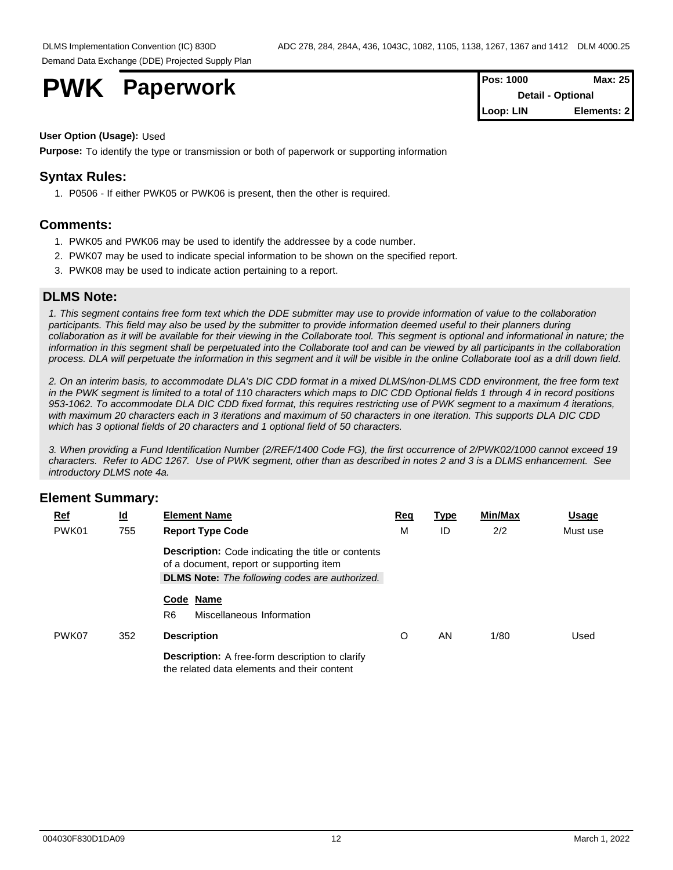**PWK** Paperwork

| <b>Pos: 1000</b> | Max: 251                 |
|------------------|--------------------------|
|                  | <b>Detail - Optional</b> |
| Loop: LIN        | Elements: 21             |

#### **User Option (Usage):** Used

**Purpose:** To identify the type or transmission or both of paperwork or supporting information

## **Syntax Rules:**

1. P0506 - If either PWK05 or PWK06 is present, then the other is required.

### **Comments:**

- 1. PWK05 and PWK06 may be used to identify the addressee by a code number.
- 2. PWK07 may be used to indicate special information to be shown on the specified report.
- 3. PWK08 may be used to indicate action pertaining to a report.

#### **DLMS Note:**

*1. This segment contains free form text which the DDE submitter may use to provide information of value to the collaboration participants. This field may also be used by the submitter to provide information deemed useful to their planners during collaboration as it will be available for their viewing in the Collaborate tool. This segment is optional and informational in nature; the information in this segment shall be perpetuated into the Collaborate tool and can be viewed by all participants in the collaboration process. DLA will perpetuate the information in this segment and it will be visible in the online Collaborate tool as a drill down field.*

*2. On an interim basis, to accommodate DLA's DIC CDD format in a mixed DLMS/non-DLMS CDD environment, the free form text in the PWK segment is limited to a total of 110 characters which maps to DIC CDD Optional fields 1 through 4 in record positions 953-1062. To accommodate DLA DIC CDD fixed format, this requires restricting use of PWK segment to a maximum 4 iterations, with maximum 20 characters each in 3 iterations and maximum of 50 characters in one iteration. This supports DLA DIC CDD which has 3 optional fields of 20 characters and 1 optional field of 50 characters.* 

*3. When providing a Fund Identification Number (2/REF/1400 Code FG), the first occurrence of 2/PWK02/1000 cannot exceed 19 characters. Refer to ADC 1267. Use of PWK segment, other than as described in notes 2 and 3 is a DLMS enhancement. See introductory DLMS note 4a.*

| $Ref$ | $\underline{\mathsf{Id}}$ | <b>Element Name</b>                                                                                   | Req | <b>Type</b> | Min/Max | <b>Usage</b> |  |
|-------|---------------------------|-------------------------------------------------------------------------------------------------------|-----|-------------|---------|--------------|--|
| PWK01 | 755                       | <b>Report Type Code</b>                                                                               | м   | ID          | 2/2     | Must use     |  |
|       |                           | <b>Description:</b> Code indicating the title or contents<br>of a document, report or supporting item |     |             |         |              |  |
|       |                           | <b>DLMS Note:</b> The following codes are authorized.                                                 |     |             |         |              |  |
|       |                           | Code Name<br>R <sub>6</sub><br>Miscellaneous Information                                              |     |             |         |              |  |
| PWK07 | 352                       | <b>Description</b>                                                                                    | O   | AN          | 1/80    | Used         |  |
|       |                           |                                                                                                       |     |             |         |              |  |
|       |                           | <b>Description:</b> A free-form description to clarify<br>the related data elements and their content |     |             |         |              |  |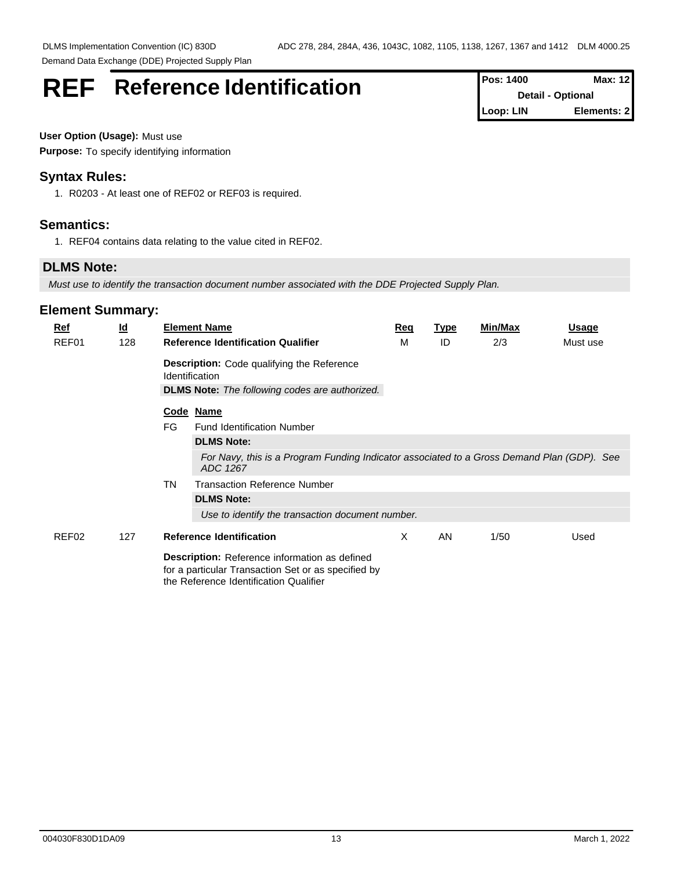# **REF** Reference Identification **Pos: 1400** Max: 12

**Detail - Optional Loop: LIN Elements: 2**

**User Option (Usage):** Must use **Purpose:** To specify identifying information

## **Syntax Rules:**

1. R0203 - At least one of REF02 or REF03 is required.

## **Semantics:**

1. REF04 contains data relating to the value cited in REF02.

# **DLMS Note:**

*Must use to identify the transaction document number associated with the DDE Projected Supply Plan.*

| <u>Ref</u> | <u>ld</u> |           | <b>Element Name</b>                                                                                                                                   | <u>Req</u> | <u>Type</u> | <b>Min/Max</b> | <u>Usage</u> |
|------------|-----------|-----------|-------------------------------------------------------------------------------------------------------------------------------------------------------|------------|-------------|----------------|--------------|
| REF01      | 128       |           | <b>Reference Identification Qualifier</b>                                                                                                             | м          | ID          | 2/3            | Must use     |
|            |           |           | <b>Description:</b> Code qualifying the Reference<br><b>Identification</b>                                                                            |            |             |                |              |
|            |           |           | <b>DLMS Note:</b> The following codes are authorized.                                                                                                 |            |             |                |              |
|            |           |           | Code Name                                                                                                                                             |            |             |                |              |
|            |           | FG        | <b>Fund Identification Number</b>                                                                                                                     |            |             |                |              |
|            |           |           | <b>DLMS Note:</b>                                                                                                                                     |            |             |                |              |
|            |           |           | For Navy, this is a Program Funding Indicator associated to a Gross Demand Plan (GDP). See<br>ADC 1267                                                |            |             |                |              |
|            |           | <b>TN</b> | <b>Transaction Reference Number</b>                                                                                                                   |            |             |                |              |
|            |           |           | <b>DLMS Note:</b>                                                                                                                                     |            |             |                |              |
|            |           |           | Use to identify the transaction document number.                                                                                                      |            |             |                |              |
| REF02      | 127       |           | <b>Reference Identification</b>                                                                                                                       | X          | AN          | 1/50           | Used         |
|            |           |           | <b>Description:</b> Reference information as defined<br>for a particular Transaction Set or as specified by<br>the Reference Identification Qualifier |            |             |                |              |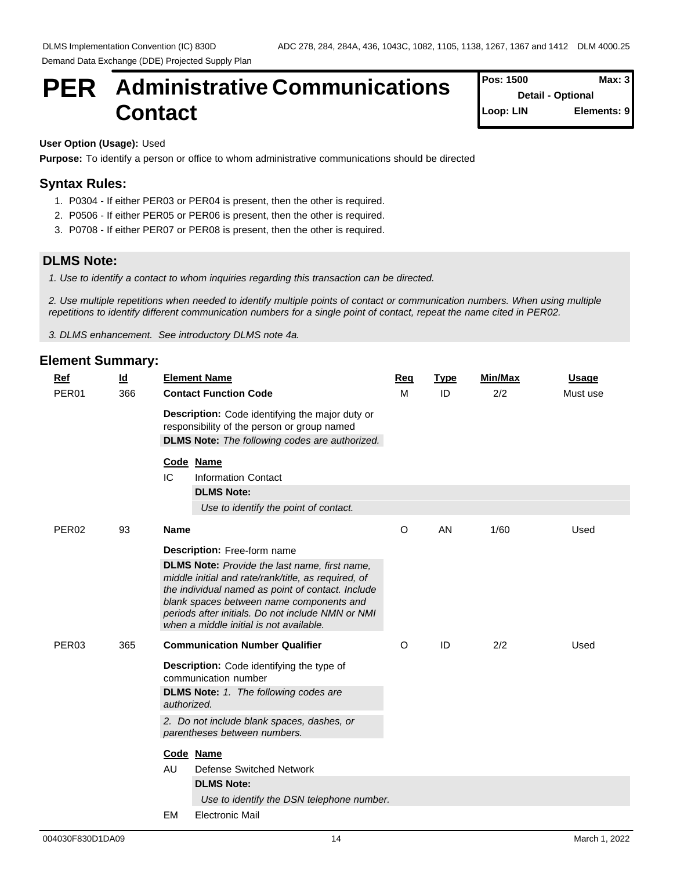# **PER** Administrative Communications  $\int_{\text{Post 1500}}^{\text{Pos: 1500}}$ **Contact**

**Pos: 1500 Detail - Optional Loop: LIN Elements: 9**

## **User Option (Usage):** Used

**Purpose:** To identify a person or office to whom administrative communications should be directed

# **Syntax Rules:**

- 1. P0304 If either PER03 or PER04 is present, then the other is required.
- 2. P0506 If either PER05 or PER06 is present, then the other is required.
- 3. P0708 If either PER07 or PER08 is present, then the other is required.

EM Electronic Mail

# **DLMS Note:**

*1. Use to identify a contact to whom inquiries regarding this transaction can be directed.*

*2. Use multiple repetitions when needed to identify multiple points of contact or communication numbers. When using multiple repetitions to identify different communication numbers for a single point of contact, repeat the name cited in PER02.*

*3. DLMS enhancement. See introductory DLMS note 4a.*

## **Element Summary: Ref Id Element Name Req Type Min/Max Usage** PER01 366 **Contact Function Code Description:** Code identifying the major duty or responsibility of the person or group named **DLMS Note:** *The following codes are authorized.* M ID 2/2 Must use **Code Name** IC Information Contact **DLMS Note:** *Use to identify the point of contact.* PER02 93 **Name Description:** Free-form name **DLMS Note:** *Provide the last name, first name, middle initial and rate/rank/title, as required, of the individual named as point of contact. Include blank spaces between name components and periods after initials. Do not include NMN or NMI when a middle initial is not available.*  O AN 1/60 Used PER03 365 **Communication Number Qualifier Description:** Code identifying the type of communication number **DLMS Note:** *1. The following codes are authorized. 2. Do not include blank spaces, dashes, or parentheses between numbers.*  O ID 2/2 Used **Code Name** AU Defense Switched Network **DLMS Note:** *Use to identify the DSN telephone number.*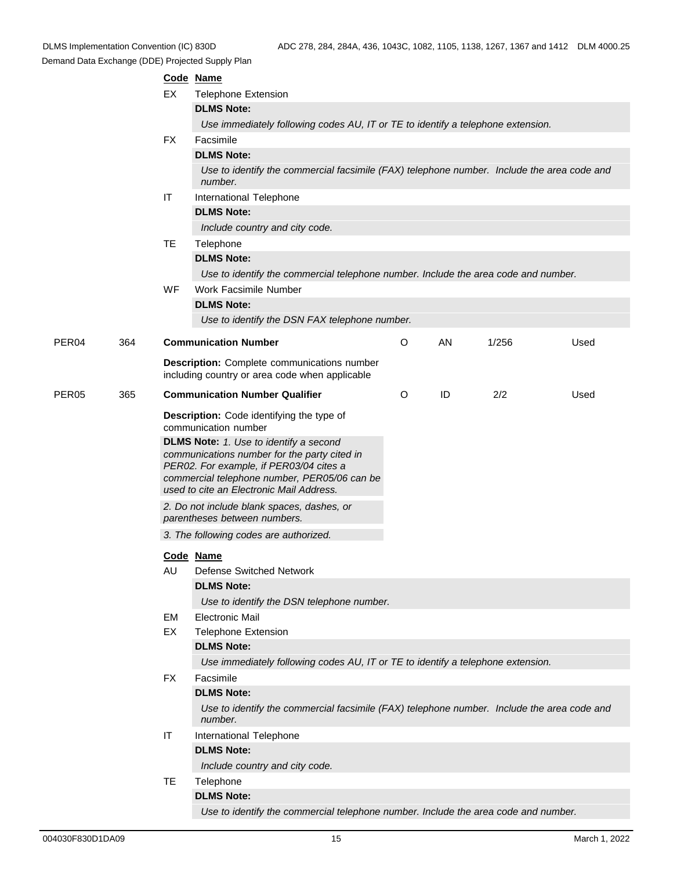|       |     |                   | Code Name                                                                                                                                                                                                                            |         |    |       |      |  |  |  |
|-------|-----|-------------------|--------------------------------------------------------------------------------------------------------------------------------------------------------------------------------------------------------------------------------------|---------|----|-------|------|--|--|--|
|       |     | EX                | <b>Telephone Extension</b>                                                                                                                                                                                                           |         |    |       |      |  |  |  |
|       |     |                   | <b>DLMS Note:</b>                                                                                                                                                                                                                    |         |    |       |      |  |  |  |
|       |     |                   | Use immediately following codes AU, IT or TE to identify a telephone extension.                                                                                                                                                      |         |    |       |      |  |  |  |
|       |     | FX                | Facsimile                                                                                                                                                                                                                            |         |    |       |      |  |  |  |
|       |     |                   | <b>DLMS Note:</b>                                                                                                                                                                                                                    |         |    |       |      |  |  |  |
|       |     |                   | Use to identify the commercial facsimile (FAX) telephone number. Include the area code and<br>number.                                                                                                                                |         |    |       |      |  |  |  |
|       |     | IT                | International Telephone                                                                                                                                                                                                              |         |    |       |      |  |  |  |
|       |     |                   | <b>DLMS Note:</b>                                                                                                                                                                                                                    |         |    |       |      |  |  |  |
|       |     |                   | Include country and city code.                                                                                                                                                                                                       |         |    |       |      |  |  |  |
|       |     | <b>TE</b>         | Telephone                                                                                                                                                                                                                            |         |    |       |      |  |  |  |
|       |     |                   | <b>DLMS Note:</b>                                                                                                                                                                                                                    |         |    |       |      |  |  |  |
|       |     |                   | Use to identify the commercial telephone number. Include the area code and number.                                                                                                                                                   |         |    |       |      |  |  |  |
|       |     | WF                | Work Facsimile Number                                                                                                                                                                                                                |         |    |       |      |  |  |  |
|       |     |                   | <b>DLMS Note:</b>                                                                                                                                                                                                                    |         |    |       |      |  |  |  |
|       |     |                   | Use to identify the DSN FAX telephone number.                                                                                                                                                                                        |         |    |       |      |  |  |  |
| PER04 | 364 |                   | <b>Communication Number</b>                                                                                                                                                                                                          | $\circ$ | AN | 1/256 | Used |  |  |  |
|       |     |                   | <b>Description:</b> Complete communications number<br>including country or area code when applicable                                                                                                                                 |         |    |       |      |  |  |  |
| PER05 | 365 |                   | <b>Communication Number Qualifier</b>                                                                                                                                                                                                | $\circ$ | ID | 2/2   | Used |  |  |  |
|       |     |                   | Description: Code identifying the type of<br>communication number                                                                                                                                                                    |         |    |       |      |  |  |  |
|       |     |                   | <b>DLMS Note:</b> 1. Use to identify a second<br>communications number for the party cited in<br>PER02. For example, if PER03/04 cites a<br>commercial telephone number, PER05/06 can be<br>used to cite an Electronic Mail Address. |         |    |       |      |  |  |  |
|       |     |                   | 2. Do not include blank spaces, dashes, or<br>parentheses between numbers.                                                                                                                                                           |         |    |       |      |  |  |  |
|       |     |                   | 3. The following codes are authorized.                                                                                                                                                                                               |         |    |       |      |  |  |  |
|       |     |                   | Code Name                                                                                                                                                                                                                            |         |    |       |      |  |  |  |
|       |     | AU                | <b>Defense Switched Network</b>                                                                                                                                                                                                      |         |    |       |      |  |  |  |
|       |     |                   | <b>DLMS Note:</b>                                                                                                                                                                                                                    |         |    |       |      |  |  |  |
|       |     |                   | Use to identify the DSN telephone number.                                                                                                                                                                                            |         |    |       |      |  |  |  |
|       |     | <b>EM</b>         | <b>Electronic Mail</b>                                                                                                                                                                                                               |         |    |       |      |  |  |  |
|       |     | EX                | <b>Telephone Extension</b>                                                                                                                                                                                                           |         |    |       |      |  |  |  |
|       |     |                   | <b>DLMS Note:</b>                                                                                                                                                                                                                    |         |    |       |      |  |  |  |
|       |     |                   | Use immediately following codes AU, IT or TE to identify a telephone extension.                                                                                                                                                      |         |    |       |      |  |  |  |
|       |     | <b>FX</b>         | Facsimile                                                                                                                                                                                                                            |         |    |       |      |  |  |  |
|       |     |                   | <b>DLMS Note:</b>                                                                                                                                                                                                                    |         |    |       |      |  |  |  |
|       |     |                   | Use to identify the commercial facsimile (FAX) telephone number. Include the area code and<br>number.                                                                                                                                |         |    |       |      |  |  |  |
|       |     | IT                | International Telephone                                                                                                                                                                                                              |         |    |       |      |  |  |  |
|       |     | <b>DLMS Note:</b> |                                                                                                                                                                                                                                      |         |    |       |      |  |  |  |
|       |     |                   | Include country and city code.                                                                                                                                                                                                       |         |    |       |      |  |  |  |
|       |     | <b>TE</b>         | Telephone                                                                                                                                                                                                                            |         |    |       |      |  |  |  |
|       |     |                   | <b>DLMS Note:</b>                                                                                                                                                                                                                    |         |    |       |      |  |  |  |
|       |     |                   | Use to identify the commercial telephone number. Include the area code and number.                                                                                                                                                   |         |    |       |      |  |  |  |
|       |     |                   |                                                                                                                                                                                                                                      |         |    |       |      |  |  |  |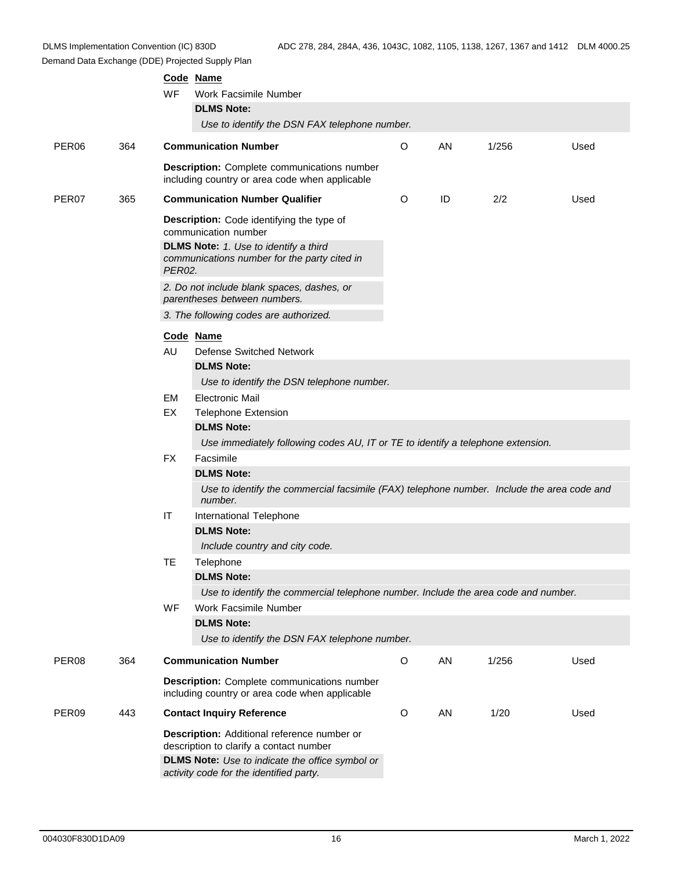|                   |     | WF                                                                                                     | Code Name<br>Work Facsimile Number<br><b>DLMS Note:</b><br>Use to identify the DSN FAX telephone number.                                                                                    |         |    |       |      |
|-------------------|-----|--------------------------------------------------------------------------------------------------------|---------------------------------------------------------------------------------------------------------------------------------------------------------------------------------------------|---------|----|-------|------|
| PER <sub>06</sub> | 364 |                                                                                                        | <b>Communication Number</b>                                                                                                                                                                 | O       | AN | 1/256 | Used |
|                   |     |                                                                                                        | <b>Description:</b> Complete communications number<br>including country or area code when applicable                                                                                        |         |    |       |      |
| PER07             | 365 |                                                                                                        | <b>Communication Number Qualifier</b>                                                                                                                                                       | O       | ID | 2/2   | Used |
|                   |     | Description: Code identifying the type of<br>communication number                                      |                                                                                                                                                                                             |         |    |       |      |
|                   |     | <b>DLMS Note:</b> 1. Use to identify a third<br>communications number for the party cited in<br>PER02. |                                                                                                                                                                                             |         |    |       |      |
|                   |     | 2. Do not include blank spaces, dashes, or<br>parentheses between numbers.                             |                                                                                                                                                                                             |         |    |       |      |
|                   |     |                                                                                                        | 3. The following codes are authorized.                                                                                                                                                      |         |    |       |      |
|                   |     | AU                                                                                                     | Code Name<br>Defense Switched Network<br><b>DLMS Note:</b>                                                                                                                                  |         |    |       |      |
|                   |     |                                                                                                        | Use to identify the DSN telephone number.                                                                                                                                                   |         |    |       |      |
|                   |     | EM<br>EX                                                                                               | <b>Electronic Mail</b><br><b>Telephone Extension</b><br><b>DLMS Note:</b>                                                                                                                   |         |    |       |      |
|                   |     |                                                                                                        | Use immediately following codes AU, IT or TE to identify a telephone extension.                                                                                                             |         |    |       |      |
|                   |     | <b>FX</b>                                                                                              | Facsimile                                                                                                                                                                                   |         |    |       |      |
|                   |     |                                                                                                        | <b>DLMS Note:</b><br>Use to identify the commercial facsimile (FAX) telephone number. Include the area code and<br>number.                                                                  |         |    |       |      |
|                   |     | IT                                                                                                     | International Telephone<br><b>DLMS Note:</b>                                                                                                                                                |         |    |       |      |
|                   |     |                                                                                                        | Include country and city code.                                                                                                                                                              |         |    |       |      |
|                   |     | TE                                                                                                     | Telephone<br><b>DLMS Note:</b>                                                                                                                                                              |         |    |       |      |
|                   |     |                                                                                                        | Use to identify the commercial telephone number. Include the area code and number.                                                                                                          |         |    |       |      |
|                   |     | <b>WF</b>                                                                                              | Work Facsimile Number                                                                                                                                                                       |         |    |       |      |
|                   |     |                                                                                                        | <b>DLMS Note:</b>                                                                                                                                                                           |         |    |       |      |
|                   |     |                                                                                                        | Use to identify the DSN FAX telephone number.                                                                                                                                               |         |    |       |      |
| PER08             | 364 |                                                                                                        | <b>Communication Number</b>                                                                                                                                                                 | $\circ$ | AN | 1/256 | Used |
|                   |     |                                                                                                        | <b>Description:</b> Complete communications number<br>including country or area code when applicable                                                                                        |         |    |       |      |
| PER09             | 443 |                                                                                                        | <b>Contact Inquiry Reference</b>                                                                                                                                                            | $\circ$ | AN | 1/20  | Used |
|                   |     |                                                                                                        | Description: Additional reference number or<br>description to clarify a contact number<br><b>DLMS Note:</b> Use to indicate the office symbol or<br>activity code for the identified party. |         |    |       |      |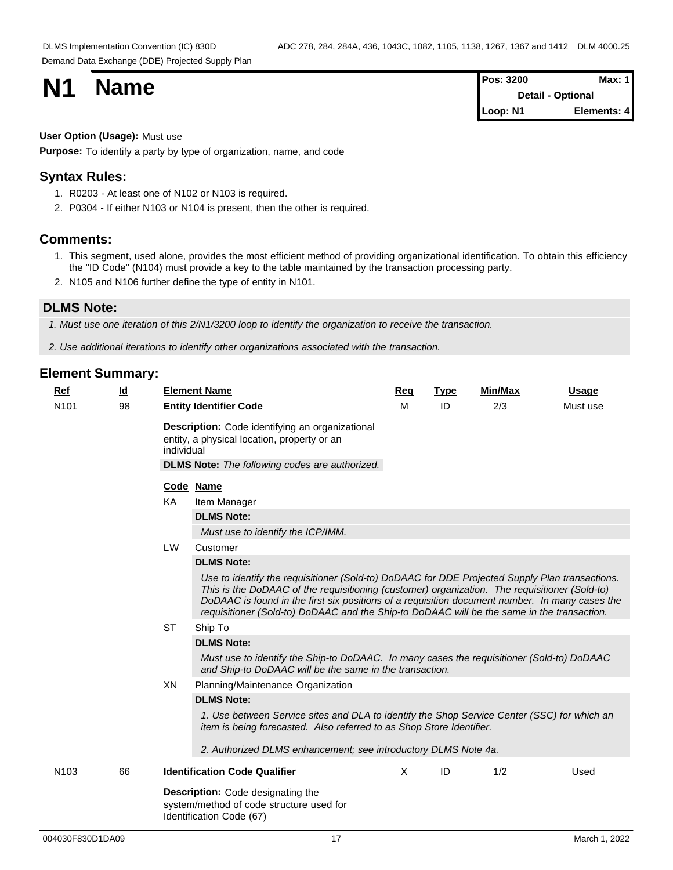| <b>N1</b> |             | <b>Pos: 3200</b> | <b>Max: 1</b>   |
|-----------|-------------|------------------|-----------------|
|           | <b>Name</b> | Detail -         | <b>Optional</b> |
|           |             | Loop: N1         | Elements: 4     |

#### **User Option (Usage):** Must use

**Purpose:** To identify a party by type of organization, name, and code

#### **Syntax Rules:**

- 1. R0203 At least one of N102 or N103 is required.
- 2. P0304 If either N103 or N104 is present, then the other is required.

#### **Comments:**

- 1. This segment, used alone, provides the most efficient method of providing organizational identification. To obtain this efficiency the "ID Code" (N104) must provide a key to the table maintained by the transaction processing party.
- 2. N105 and N106 further define the type of entity in N101.

## **DLMS Note:**

*1. Must use one iteration of this 2/N1/3200 loop to identify the organization to receive the transaction.*

*2. Use additional iterations to identify other organizations associated with the transaction.*

| Ref              | $\underline{\mathsf{Id}}$ |           | <b>Element Name</b>                                                                                                                                                                                                                                                                                                                                                                             | Req | <b>Type</b> | Min/Max | <b>Usage</b> |  |  |  |  |  |
|------------------|---------------------------|-----------|-------------------------------------------------------------------------------------------------------------------------------------------------------------------------------------------------------------------------------------------------------------------------------------------------------------------------------------------------------------------------------------------------|-----|-------------|---------|--------------|--|--|--|--|--|
| N <sub>101</sub> | 98                        |           | <b>Entity Identifier Code</b>                                                                                                                                                                                                                                                                                                                                                                   | М   | ID          | 2/3     | Must use     |  |  |  |  |  |
|                  |                           |           | Description: Code identifying an organizational<br>entity, a physical location, property or an<br>individual<br><b>DLMS Note:</b> The following codes are authorized.                                                                                                                                                                                                                           |     |             |         |              |  |  |  |  |  |
|                  |                           |           | Code Name                                                                                                                                                                                                                                                                                                                                                                                       |     |             |         |              |  |  |  |  |  |
|                  |                           | KA        | Item Manager                                                                                                                                                                                                                                                                                                                                                                                    |     |             |         |              |  |  |  |  |  |
|                  |                           |           | <b>DLMS Note:</b>                                                                                                                                                                                                                                                                                                                                                                               |     |             |         |              |  |  |  |  |  |
|                  |                           |           | Must use to identify the ICP/IMM.                                                                                                                                                                                                                                                                                                                                                               |     |             |         |              |  |  |  |  |  |
|                  |                           | <b>LW</b> | Customer                                                                                                                                                                                                                                                                                                                                                                                        |     |             |         |              |  |  |  |  |  |
|                  |                           |           | <b>DLMS Note:</b>                                                                                                                                                                                                                                                                                                                                                                               |     |             |         |              |  |  |  |  |  |
|                  |                           |           | Use to identify the requisitioner (Sold-to) DoDAAC for DDE Projected Supply Plan transactions.<br>This is the DoDAAC of the requisitioning (customer) organization. The requisitioner (Sold-to)<br>DoDAAC is found in the first six positions of a requisition document number. In many cases the<br>requisitioner (Sold-to) DoDAAC and the Ship-to DoDAAC will be the same in the transaction. |     |             |         |              |  |  |  |  |  |
|                  |                           | <b>ST</b> | Ship To                                                                                                                                                                                                                                                                                                                                                                                         |     |             |         |              |  |  |  |  |  |
|                  |                           |           | <b>DLMS Note:</b>                                                                                                                                                                                                                                                                                                                                                                               |     |             |         |              |  |  |  |  |  |
|                  |                           |           | Must use to identify the Ship-to DoDAAC. In many cases the requisitioner (Sold-to) DoDAAC<br>and Ship-to DoDAAC will be the same in the transaction.                                                                                                                                                                                                                                            |     |             |         |              |  |  |  |  |  |
|                  |                           | XN        | Planning/Maintenance Organization                                                                                                                                                                                                                                                                                                                                                               |     |             |         |              |  |  |  |  |  |
|                  |                           |           | <b>DLMS Note:</b>                                                                                                                                                                                                                                                                                                                                                                               |     |             |         |              |  |  |  |  |  |
|                  |                           |           | 1. Use between Service sites and DLA to identify the Shop Service Center (SSC) for which an<br>item is being forecasted. Also referred to as Shop Store Identifier.                                                                                                                                                                                                                             |     |             |         |              |  |  |  |  |  |
|                  |                           |           | 2. Authorized DLMS enhancement; see introductory DLMS Note 4a.                                                                                                                                                                                                                                                                                                                                  |     |             |         |              |  |  |  |  |  |
| N <sub>103</sub> | 66                        |           | <b>Identification Code Qualifier</b>                                                                                                                                                                                                                                                                                                                                                            | X.  | ID          | 1/2     | Used         |  |  |  |  |  |
|                  |                           |           | Description: Code designating the<br>system/method of code structure used for<br>Identification Code (67)                                                                                                                                                                                                                                                                                       |     |             |         |              |  |  |  |  |  |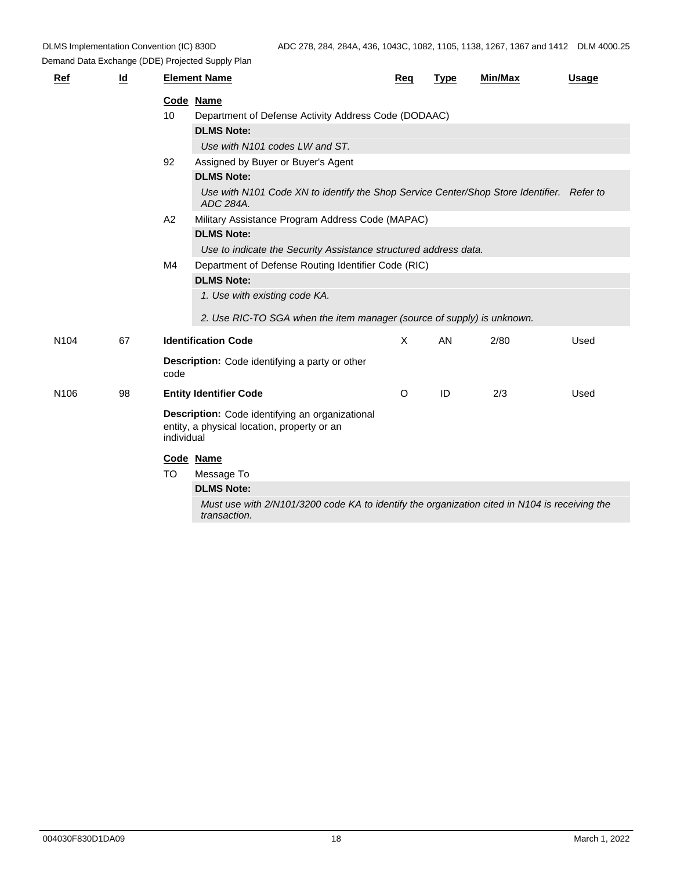| Ref              | $\underline{\mathsf{Id}}$ |           | <b>Element Name</b>                                                                                           | <u>Req</u>   | <b>Type</b> | Min/Max | <b>Usage</b> |  |  |  |
|------------------|---------------------------|-----------|---------------------------------------------------------------------------------------------------------------|--------------|-------------|---------|--------------|--|--|--|
|                  |                           |           | Code Name                                                                                                     |              |             |         |              |  |  |  |
|                  |                           | 10        | Department of Defense Activity Address Code (DODAAC)                                                          |              |             |         |              |  |  |  |
|                  |                           |           | <b>DLMS Note:</b>                                                                                             |              |             |         |              |  |  |  |
|                  |                           |           | Use with N101 codes LW and ST.                                                                                |              |             |         |              |  |  |  |
|                  |                           | 92        | Assigned by Buyer or Buyer's Agent                                                                            |              |             |         |              |  |  |  |
|                  |                           |           | <b>DLMS Note:</b>                                                                                             |              |             |         |              |  |  |  |
|                  |                           |           | Use with N101 Code XN to identify the Shop Service Center/Shop Store Identifier. Refer to<br>ADC 284A.        |              |             |         |              |  |  |  |
|                  |                           | A2        | Military Assistance Program Address Code (MAPAC)                                                              |              |             |         |              |  |  |  |
|                  |                           |           | <b>DLMS Note:</b>                                                                                             |              |             |         |              |  |  |  |
|                  |                           |           | Use to indicate the Security Assistance structured address data.                                              |              |             |         |              |  |  |  |
|                  |                           | M4        | Department of Defense Routing Identifier Code (RIC)                                                           |              |             |         |              |  |  |  |
|                  |                           |           | <b>DLMS Note:</b>                                                                                             |              |             |         |              |  |  |  |
|                  |                           |           | 1. Use with existing code KA.                                                                                 |              |             |         |              |  |  |  |
|                  |                           |           | 2. Use RIC-TO SGA when the item manager (source of supply) is unknown.                                        |              |             |         |              |  |  |  |
| N <sub>104</sub> | 67                        |           | <b>Identification Code</b>                                                                                    | $\mathsf{X}$ | AN          | 2/80    | Used         |  |  |  |
|                  |                           | code      | <b>Description:</b> Code identifying a party or other                                                         |              |             |         |              |  |  |  |
| N <sub>106</sub> | 98                        |           | <b>Entity Identifier Code</b>                                                                                 | $\circ$      | ID          | 2/3     | Used         |  |  |  |
|                  |                           |           | Description: Code identifying an organizational<br>entity, a physical location, property or an<br>individual  |              |             |         |              |  |  |  |
|                  |                           |           | Code Name                                                                                                     |              |             |         |              |  |  |  |
|                  |                           | <b>TO</b> | Message To                                                                                                    |              |             |         |              |  |  |  |
|                  |                           |           | <b>DLMS Note:</b>                                                                                             |              |             |         |              |  |  |  |
|                  |                           |           | Must use with 2/N101/3200 code KA to identify the organization cited in N104 is receiving the<br>transaction. |              |             |         |              |  |  |  |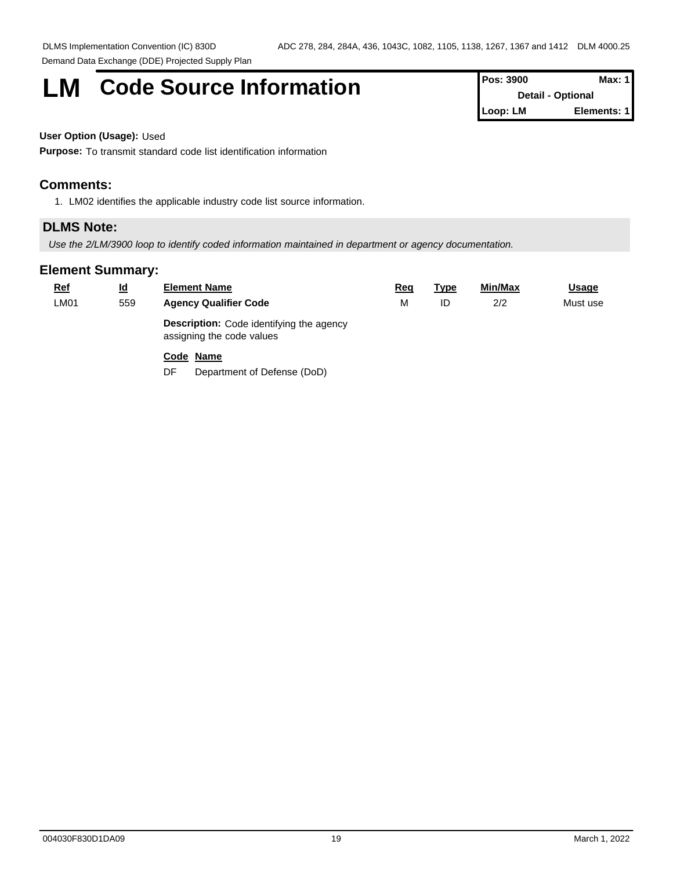# **LM** Code Source Information **Pos:** 3900 **Max: 1**

**Detail - Optional Loop: LM Elements: 1**

#### **User Option (Usage):** Used

**Purpose:** To transmit standard code list identification information

#### **Comments:**

1. LM02 identifies the applicable industry code list source information.

## **DLMS Note:**

*Use the 2/LM/3900 loop to identify coded information maintained in department or agency documentation.*

### **Element Summary:**

| <b>Ref</b> | $\underline{\mathsf{Id}}$ | <b>Element Name</b>                                                          | Req | <u>Type</u> | <b>Min/Max</b> | <u>Usage</u> |  |
|------------|---------------------------|------------------------------------------------------------------------------|-----|-------------|----------------|--------------|--|
| LM01       | 559                       | <b>Agency Qualifier Code</b>                                                 | M   | ID          | 2/2            | Must use     |  |
|            |                           | <b>Description:</b> Code identifying the agency<br>assigning the code values |     |             |                |              |  |
|            |                           | Code Name                                                                    |     |             |                |              |  |

DF Department of Defense (DoD)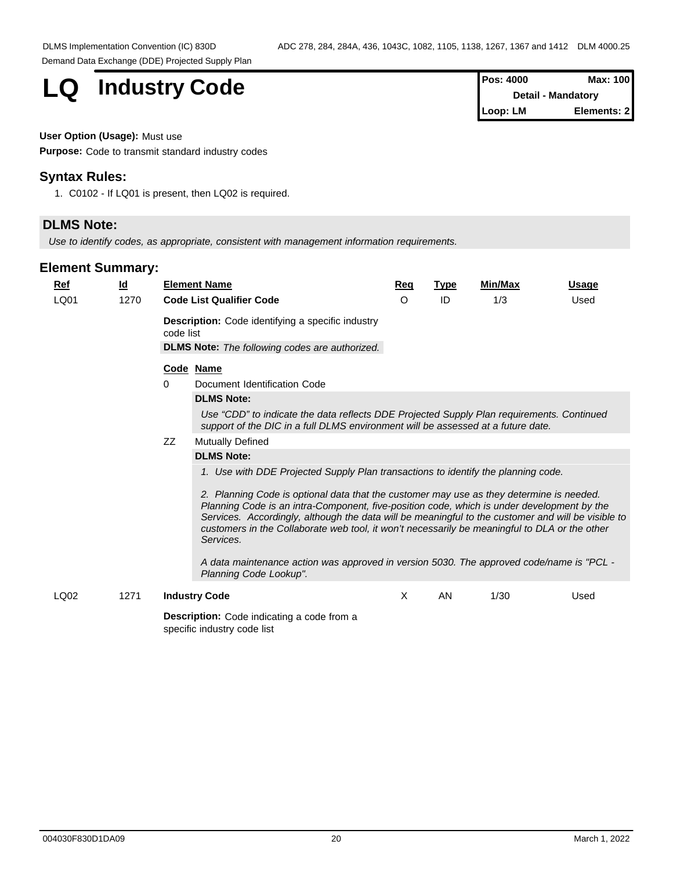**LQ Industry Code Pos: 4000 Max: 100 Max: 100** 

**Detail - Mandatory Loop: LM Elements: 2**

## **User Option (Usage):** Must use

**Purpose:** Code to transmit standard industry codes

### **Syntax Rules:**

1. C0102 - If LQ01 is present, then LQ02 is required.

# **DLMS Note:**

*Use to identify codes, as appropriate, consistent with management information requirements.*

## **Element Summary:**

| Ref  | $\underline{\mathsf{Id}}$ | <b>Element Name</b>                                                                                                                                                                                                                                                                                                                                                                                                                                                                                                                                                                                                   | Req      | <b>Type</b> | <b>Min/Max</b> | <b>Usage</b> |  |  |  |  |  |  |
|------|---------------------------|-----------------------------------------------------------------------------------------------------------------------------------------------------------------------------------------------------------------------------------------------------------------------------------------------------------------------------------------------------------------------------------------------------------------------------------------------------------------------------------------------------------------------------------------------------------------------------------------------------------------------|----------|-------------|----------------|--------------|--|--|--|--|--|--|
| LQ01 | 1270                      | <b>Code List Qualifier Code</b>                                                                                                                                                                                                                                                                                                                                                                                                                                                                                                                                                                                       | $\Omega$ | ID          | 1/3            | Used         |  |  |  |  |  |  |
|      |                           | <b>Description:</b> Code identifying a specific industry<br>code list<br><b>DLMS Note:</b> The following codes are authorized.                                                                                                                                                                                                                                                                                                                                                                                                                                                                                        |          |             |                |              |  |  |  |  |  |  |
|      |                           | Code Name                                                                                                                                                                                                                                                                                                                                                                                                                                                                                                                                                                                                             |          |             |                |              |  |  |  |  |  |  |
|      |                           | Document Identification Code<br>0                                                                                                                                                                                                                                                                                                                                                                                                                                                                                                                                                                                     |          |             |                |              |  |  |  |  |  |  |
|      |                           | <b>DLMS Note:</b>                                                                                                                                                                                                                                                                                                                                                                                                                                                                                                                                                                                                     |          |             |                |              |  |  |  |  |  |  |
|      |                           | Use "CDD" to indicate the data reflects DDE Projected Supply Plan requirements. Continued<br>support of the DIC in a full DLMS environment will be assessed at a future date.                                                                                                                                                                                                                                                                                                                                                                                                                                         |          |             |                |              |  |  |  |  |  |  |
|      |                           | ZZ<br><b>Mutually Defined</b>                                                                                                                                                                                                                                                                                                                                                                                                                                                                                                                                                                                         |          |             |                |              |  |  |  |  |  |  |
|      |                           | <b>DLMS Note:</b>                                                                                                                                                                                                                                                                                                                                                                                                                                                                                                                                                                                                     |          |             |                |              |  |  |  |  |  |  |
|      |                           | 1. Use with DDE Projected Supply Plan transactions to identify the planning code.<br>2. Planning Code is optional data that the customer may use as they determine is needed.<br>Planning Code is an intra-Component, five-position code, which is under development by the<br>Services. Accordingly, although the data will be meaningful to the customer and will be visible to<br>customers in the Collaborate web tool, it won't necessarily be meaningful to DLA or the other<br>Services.<br>A data maintenance action was approved in version 5030. The approved code/name is "PCL -<br>Planning Code Lookup". |          |             |                |              |  |  |  |  |  |  |
| LQ02 | 1271                      | <b>Industry Code</b>                                                                                                                                                                                                                                                                                                                                                                                                                                                                                                                                                                                                  | X        | <b>AN</b>   | 1/30           | Used         |  |  |  |  |  |  |
|      |                           | <b>Description:</b> Code indicating a code from a                                                                                                                                                                                                                                                                                                                                                                                                                                                                                                                                                                     |          |             |                |              |  |  |  |  |  |  |

specific industry code list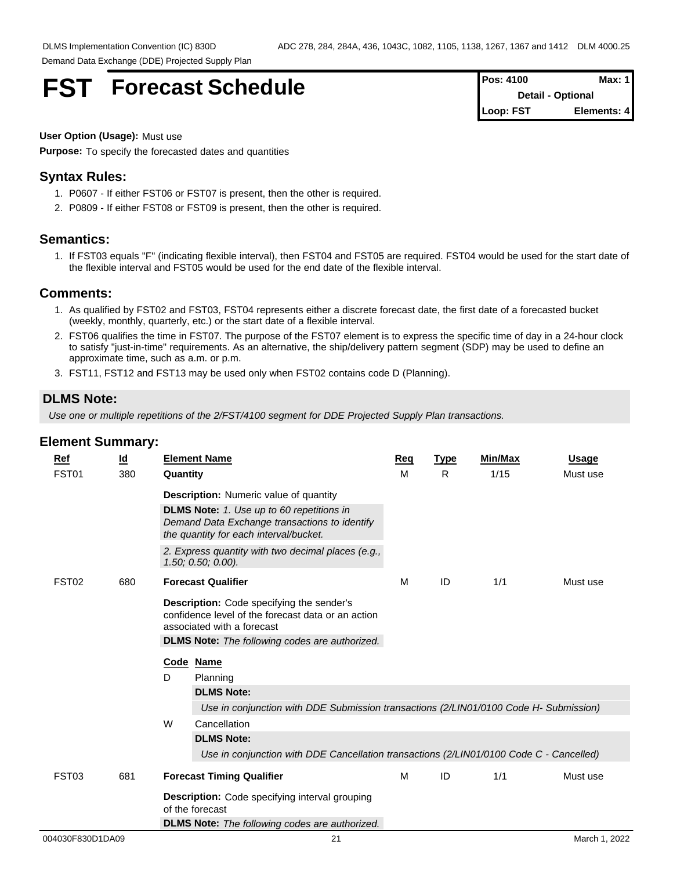# **FST** Forecast Schedule

| <b>Pos: 4100</b>         | Max: 11     |
|--------------------------|-------------|
| <b>Detail - Optional</b> |             |
| Loop: FST                | Elements: 4 |

#### **User Option (Usage):** Must use

**Purpose:** To specify the forecasted dates and quantities

#### **Syntax Rules:**

- 1. P0607 If either FST06 or FST07 is present, then the other is required.
- 2. P0809 If either FST08 or FST09 is present, then the other is required.

#### **Semantics:**

1. If FST03 equals "F" (indicating flexible interval), then FST04 and FST05 are required. FST04 would be used for the start date of the flexible interval and FST05 would be used for the end date of the flexible interval.

#### **Comments:**

- 1. As qualified by FST02 and FST03, FST04 represents either a discrete forecast date, the first date of a forecasted bucket (weekly, monthly, quarterly, etc.) or the start date of a flexible interval.
- 2. FST06 qualifies the time in FST07. The purpose of the FST07 element is to express the specific time of day in a 24-hour clock to satisfy "just-in-time" requirements. As an alternative, the ship/delivery pattern segment (SDP) may be used to define an approximate time, such as a.m. or p.m.
- 3. FST11, FST12 and FST13 may be used only when FST02 contains code D (Planning).

## **DLMS Note:**

*Use one or multiple repetitions of the 2/FST/4100 segment for DDE Projected Supply Plan transactions.*

|  | Ref<br>FST01      | <u>ld</u><br>380 | Quantity  | <b>Element Name</b>                                                                                                                                                                           | Req<br>M | <b>Type</b><br>R | Min/Max<br>1/15 | <b>Usage</b><br>Must use |  |
|--|-------------------|------------------|-----------|-----------------------------------------------------------------------------------------------------------------------------------------------------------------------------------------------|----------|------------------|-----------------|--------------------------|--|
|  |                   |                  |           | <b>Description:</b> Numeric value of quantity<br><b>DLMS Note:</b> 1. Use up to 60 repetitions in<br>Demand Data Exchange transactions to identify<br>the quantity for each interval/bucket.  |          |                  |                 |                          |  |
|  |                   |                  |           | 2. Express quantity with two decimal places (e.g.,<br>$1.50; 0.50; 0.00$ ).                                                                                                                   |          |                  |                 |                          |  |
|  | FST <sub>02</sub> | 680              |           | <b>Forecast Qualifier</b>                                                                                                                                                                     | м        | ID               | 1/1             | Must use                 |  |
|  |                   |                  | Code Name | <b>Description:</b> Code specifying the sender's<br>confidence level of the forecast data or an action<br>associated with a forecast<br><b>DLMS Note:</b> The following codes are authorized. |          |                  |                 |                          |  |
|  |                   |                  | D         | Planning<br><b>DLMS Note:</b><br>Use in conjunction with DDE Submission transactions (2/LIN01/0100 Code H- Submission)                                                                        |          |                  |                 |                          |  |
|  |                   |                  | W         | Cancellation<br><b>DLMS Note:</b><br>Use in conjunction with DDE Cancellation transactions (2/LIN01/0100 Code C - Cancelled)                                                                  |          |                  |                 |                          |  |
|  | FST03             | 681              |           | <b>Forecast Timing Qualifier</b>                                                                                                                                                              | м        | ID               | 1/1             | Must use                 |  |
|  |                   |                  |           | <b>Description:</b> Code specifying interval grouping<br>of the forecast                                                                                                                      |          |                  |                 |                          |  |
|  |                   |                  |           | <b>DLMS Note:</b> The following codes are authorized.                                                                                                                                         |          |                  |                 |                          |  |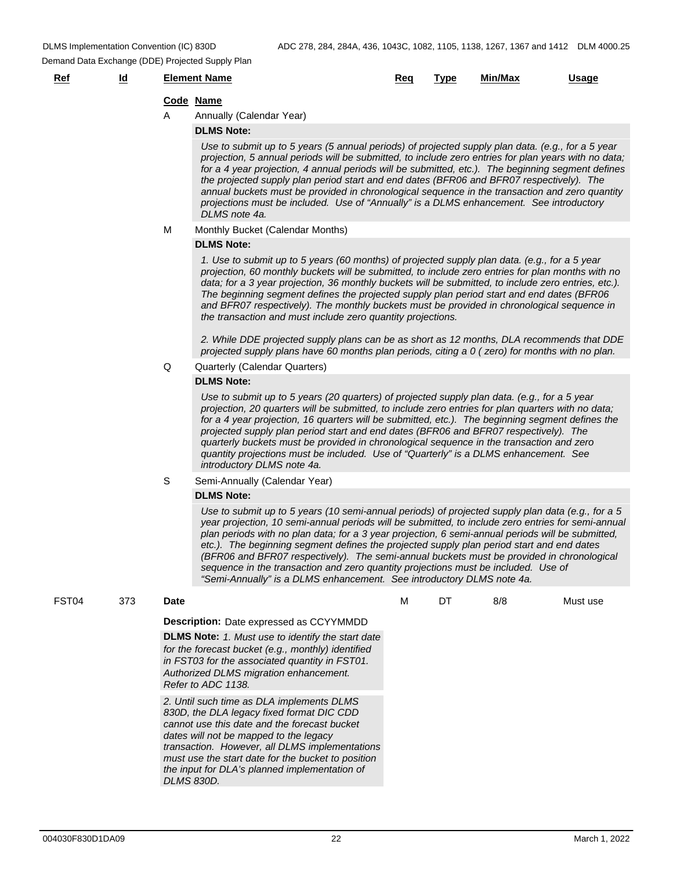## **Ref Id Element Name Req Type Min/Max Usage**

#### **Code Name**

A Annually (Calendar Year)

#### **DLMS Note:**

*Use to submit up to 5 years (5 annual periods) of projected supply plan data. (e.g., for a 5 year projection, 5 annual periods will be submitted, to include zero entries for plan years with no data; for a 4 year projection, 4 annual periods will be submitted, etc.). The beginning segment defines the projected supply plan period start and end dates (BFR06 and BFR07 respectively). The annual buckets must be provided in chronological sequence in the transaction and zero quantity projections must be included. Use of "Annually" is a DLMS enhancement. See introductory DLMS note 4a.*

#### M Monthly Bucket (Calendar Months)

#### **DLMS Note:**

*1. Use to submit up to 5 years (60 months) of projected supply plan data. (e.g., for a 5 year projection, 60 monthly buckets will be submitted, to include zero entries for plan months with no data; for a 3 year projection, 36 monthly buckets will be submitted, to include zero entries, etc.). The beginning segment defines the projected supply plan period start and end dates (BFR06 and BFR07 respectively). The monthly buckets must be provided in chronological sequence in the transaction and must include zero quantity projections.*

*2. While DDE projected supply plans can be as short as 12 months, DLA recommends that DDE projected supply plans have 60 months plan periods, citing a 0 ( zero) for months with no plan.*

#### Q Quarterly (Calendar Quarters)

#### **DLMS Note:**

*Use to submit up to 5 years (20 quarters) of projected supply plan data. (e.g., for a 5 year projection, 20 quarters will be submitted, to include zero entries for plan quarters with no data; for a 4 year projection, 16 quarters will be submitted, etc.). The beginning segment defines the projected supply plan period start and end dates (BFR06 and BFR07 respectively). The quarterly buckets must be provided in chronological sequence in the transaction and zero quantity projections must be included. Use of "Quarterly" is a DLMS enhancement. See introductory DLMS note 4a.*

#### S Semi-Annually (Calendar Year)

#### **DLMS Note:**

*Use to submit up to 5 years (10 semi-annual periods) of projected supply plan data (e.g., for a 5 year projection, 10 semi-annual periods will be submitted, to include zero entries for semi-annual plan periods with no plan data; for a 3 year projection, 6 semi-annual periods will be submitted, etc.). The beginning segment defines the projected supply plan period start and end dates (BFR06 and BFR07 respectively). The semi-annual buckets must be provided in chronological sequence in the transaction and zero quantity projections must be included. Use of "Semi-Annually" is a DLMS enhancement. See introductory DLMS note 4a.*

| FST <sub>04</sub> | 373 | <b>Date</b>                                                                                                                                                                                                                                                                                                                                                    | DT | 8/8 | Must use |
|-------------------|-----|----------------------------------------------------------------------------------------------------------------------------------------------------------------------------------------------------------------------------------------------------------------------------------------------------------------------------------------------------------------|----|-----|----------|
|                   |     | <b>Description:</b> Date expressed as CCYYMMDD                                                                                                                                                                                                                                                                                                                 |    |     |          |
|                   |     | <b>DLMS Note:</b> 1. Must use to identify the start date<br>for the forecast bucket (e.g., monthly) identified<br>in FST03 for the associated quantity in FST01.<br>Authorized DLMS migration enhancement.<br>Refer to ADC 1138.                                                                                                                               |    |     |          |
|                   |     | 2. Until such time as DLA implements DLMS<br>830D, the DLA legacy fixed format DIC CDD<br>cannot use this date and the forecast bucket<br>dates will not be mapped to the legacy<br>transaction. However, all DLMS implementations<br>must use the start date for the bucket to position<br>the input for DLA's planned implementation of<br><b>DLMS 830D.</b> |    |     |          |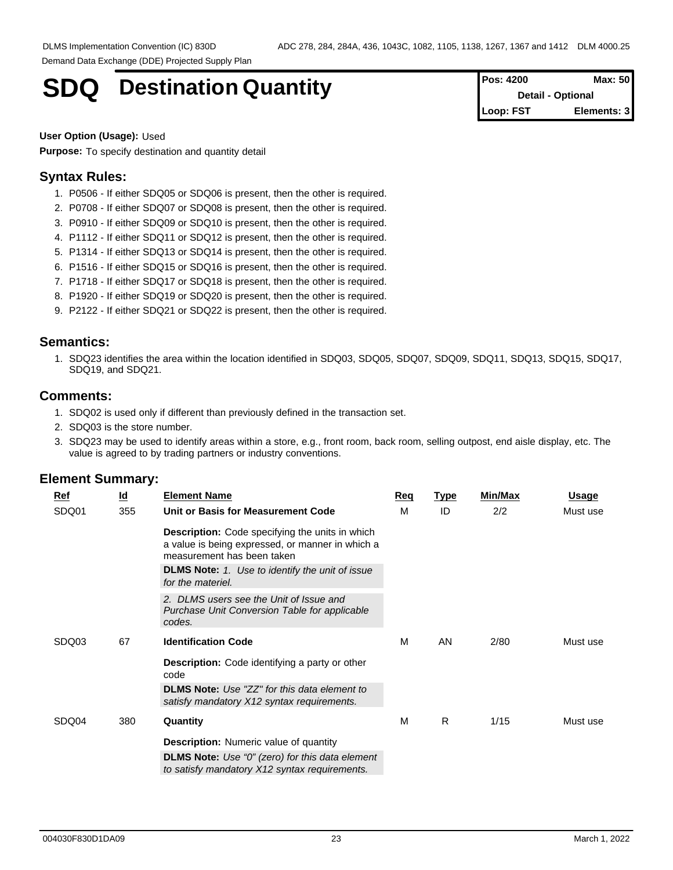# **SDQ** Destination Quantity

| <b>Pos: 4200</b> | Max: 50                  |
|------------------|--------------------------|
|                  | <b>Detail - Optional</b> |
| Loop: FST        | Elements: 3              |

**User Option (Usage):** Used

**Purpose:** To specify destination and quantity detail

## **Syntax Rules:**

- 1. P0506 If either SDQ05 or SDQ06 is present, then the other is required.
- 2. P0708 If either SDQ07 or SDQ08 is present, then the other is required.
- 3. P0910 If either SDQ09 or SDQ10 is present, then the other is required.
- 4. P1112 If either SDQ11 or SDQ12 is present, then the other is required.
- 5. P1314 If either SDQ13 or SDQ14 is present, then the other is required.
- 6. P1516 If either SDQ15 or SDQ16 is present, then the other is required.
- 7. P1718 If either SDQ17 or SDQ18 is present, then the other is required.
- 8. P1920 If either SDQ19 or SDQ20 is present, then the other is required.
- 9. P2122 If either SDQ21 or SDQ22 is present, then the other is required.

#### **Semantics:**

1. SDQ23 identifies the area within the location identified in SDQ03, SDQ05, SDQ07, SDQ09, SDQ11, SDQ13, SDQ15, SDQ17, SDQ19, and SDQ21.

### **Comments:**

- 1. SDQ02 is used only if different than previously defined in the transaction set.
- 2. SDQ03 is the store number.
- 3. SDQ23 may be used to identify areas within a store, e.g., front room, back room, selling outpost, end aisle display, etc. The value is agreed to by trading partners or industry conventions.

| Ref   | $\underline{\mathsf{Id}}$ | <b>Element Name</b>                                                                                                                      | <b>Req</b> | <b>Type</b> | Min/Max | <u>Usage</u> |
|-------|---------------------------|------------------------------------------------------------------------------------------------------------------------------------------|------------|-------------|---------|--------------|
| SDQ01 | 355                       | Unit or Basis for Measurement Code                                                                                                       | м          | ID          | 2/2     | Must use     |
|       |                           | <b>Description:</b> Code specifying the units in which<br>a value is being expressed, or manner in which a<br>measurement has been taken |            |             |         |              |
|       |                           | <b>DLMS Note:</b> 1. Use to identify the unit of issue<br>for the materiel.                                                              |            |             |         |              |
|       |                           | 2. DLMS users see the Unit of Issue and<br>Purchase Unit Conversion Table for applicable<br>codes.                                       |            |             |         |              |
| SDQ03 | 67                        | <b>Identification Code</b>                                                                                                               | м          | AN          | 2/80    | Must use     |
|       |                           | <b>Description:</b> Code identifying a party or other<br>code                                                                            |            |             |         |              |
|       |                           | <b>DLMS Note:</b> Use "ZZ" for this data element to<br>satisfy mandatory X12 syntax requirements.                                        |            |             |         |              |
| SDQ04 | 380                       | Quantity                                                                                                                                 | м          | R           | 1/15    | Must use     |
|       |                           | <b>Description:</b> Numeric value of quantity                                                                                            |            |             |         |              |
|       |                           | <b>DLMS Note:</b> Use "0" (zero) for this data element<br>to satisfy mandatory X12 syntax requirements.                                  |            |             |         |              |